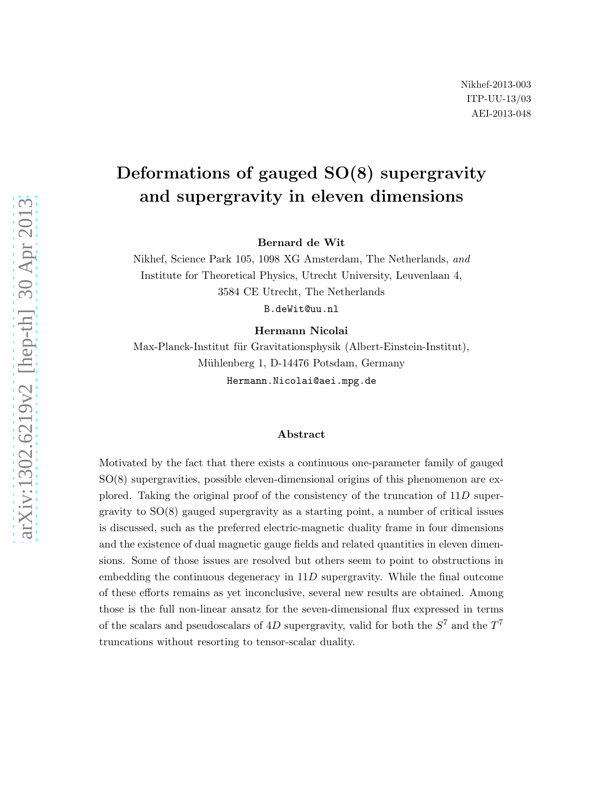# Deformations of gauged SO(8) supergravity and supergravity in eleven dimensions

Bernard de Wit

Nikhef, Science Park 105, 1098 XG Amsterdam, The Netherlands, and Institute for Theoretical Physics, Utrecht University, Leuvenlaan 4, 3584 CE Utrecht, The Netherlands B.deWit@uu.nl

Hermann Nicolai

Max-Planck-Institut für Gravitationsphysik (Albert-Einstein-Institut), Mühlenberg 1, D-14476 Potsdam, Germany Hermann.Nicolai@aei.mpg.de

#### Abstract

Motivated by the fact that there exists a continuous one-parameter family of gauged SO(8) supergravities, possible eleven-dimensional origins of this phenomenon are explored. Taking the original proof of the consistency of the truncation of 11D supergravity to SO(8) gauged supergravity as a starting point, a number of critical issues is discussed, such as the preferred electric-magnetic duality frame in four dimensions and the existence of dual magnetic gauge fields and related quantities in eleven dimensions. Some of those issues are resolved but others seem to point to obstructions in embedding the continuous degeneracy in  $11D$  supergravity. While the final outcome of these efforts remains as yet inconclusive, several new results are obtained. Among those is the full non-linear ansatz for the seven-dimensional flux expressed in terms of the scalars and pseudoscalars of 4D supergravity, valid for both the  $S^7$  and the  $T^7$ truncations without resorting to tensor-scalar duality.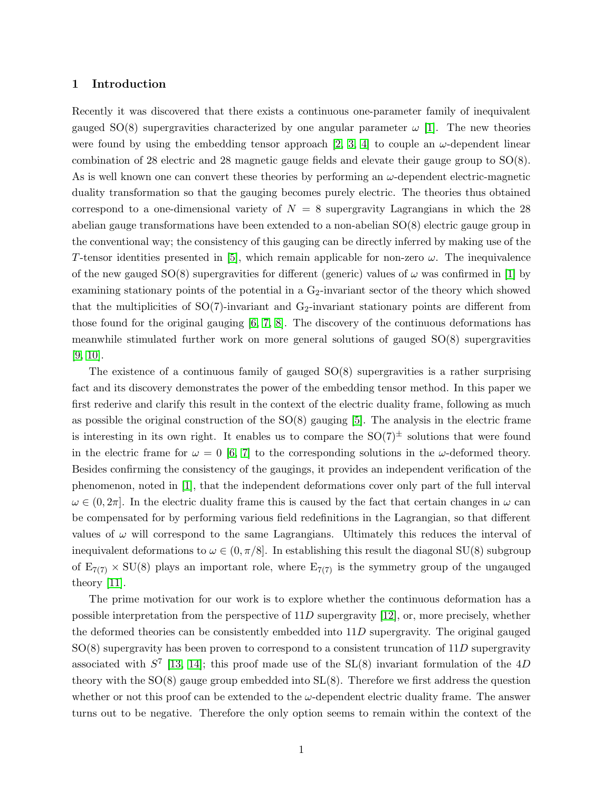## <span id="page-1-0"></span>1 Introduction

Recently it was discovered that there exists a continuous one-parameter family of inequivalent gauged SO(8) supergravities characterized by one angular parameter  $\omega$  [\[1\]](#page-26-0). The new theories were found by using the embedding tensor approach [\[2,](#page-26-1) [3,](#page-26-2) [4\]](#page-26-3) to couple an  $\omega$ -dependent linear combination of 28 electric and 28 magnetic gauge fields and elevate their gauge group to SO(8). As is well known one can convert these theories by performing an  $\omega$ -dependent electric-magnetic duality transformation so that the gauging becomes purely electric. The theories thus obtained correspond to a one-dimensional variety of  $N = 8$  supergravity Lagrangians in which the 28 abelian gauge transformations have been extended to a non-abelian SO(8) electric gauge group in the conventional way; the consistency of this gauging can be directly inferred by making use of the T-tensor identities presented in [\[5\]](#page-26-4), which remain applicable for non-zero  $\omega$ . The inequivalence of the new gauged  $SO(8)$  supergravities for different (generic) values of  $\omega$  was confirmed in [\[1\]](#page-26-0) by examining stationary points of the potential in a  $G_2$ -invariant sector of the theory which showed that the multiplicities of  $SO(7)$ -invariant and  $G_2$ -invariant stationary points are different from those found for the original gauging [\[6,](#page-26-5) [7,](#page-26-6) [8\]](#page-27-0). The discovery of the continuous deformations has meanwhile stimulated further work on more general solutions of gauged SO(8) supergravities [\[9,](#page-27-1) [10\]](#page-27-2).

The existence of a continuous family of gauged  $SO(8)$  supergravities is a rather surprising fact and its discovery demonstrates the power of the embedding tensor method. In this paper we first rederive and clarify this result in the context of the electric duality frame, following as much as possible the original construction of the  $SO(8)$  gauging [\[5\]](#page-26-4). The analysis in the electric frame is interesting in its own right. It enables us to compare the  $SO(7)^{\pm}$  solutions that were found in the electric frame for  $\omega = 0$  [\[6,](#page-26-5) [7\]](#page-26-6) to the corresponding solutions in the  $\omega$ -deformed theory. Besides confirming the consistency of the gaugings, it provides an independent verification of the phenomenon, noted in [\[1\]](#page-26-0), that the independent deformations cover only part of the full interval  $\omega \in (0, 2\pi]$ . In the electric duality frame this is caused by the fact that certain changes in  $\omega$  can be compensated for by performing various field redefinitions in the Lagrangian, so that different values of  $\omega$  will correspond to the same Lagrangians. Ultimately this reduces the interval of inequivalent deformations to  $\omega \in (0, \pi/8]$ . In establishing this result the diagonal SU(8) subgroup of  $E_{7(7)} \times SU(8)$  plays an important role, where  $E_{7(7)}$  is the symmetry group of the ungauged theory [\[11\]](#page-27-3).

The prime motivation for our work is to explore whether the continuous deformation has a possible interpretation from the perspective of  $11D$  supergravity [\[12\]](#page-27-4), or, more precisely, whether the deformed theories can be consistently embedded into 11D supergravity. The original gauged  $SO(8)$  supergravity has been proven to correspond to a consistent truncation of 11D supergravity associated with  $S^7$  [\[13,](#page-27-5) [14\]](#page-27-6); this proof made use of the SL(8) invariant formulation of the 4D theory with the SO(8) gauge group embedded into SL(8). Therefore we first address the question whether or not this proof can be extended to the  $\omega$ -dependent electric duality frame. The answer turns out to be negative. Therefore the only option seems to remain within the context of the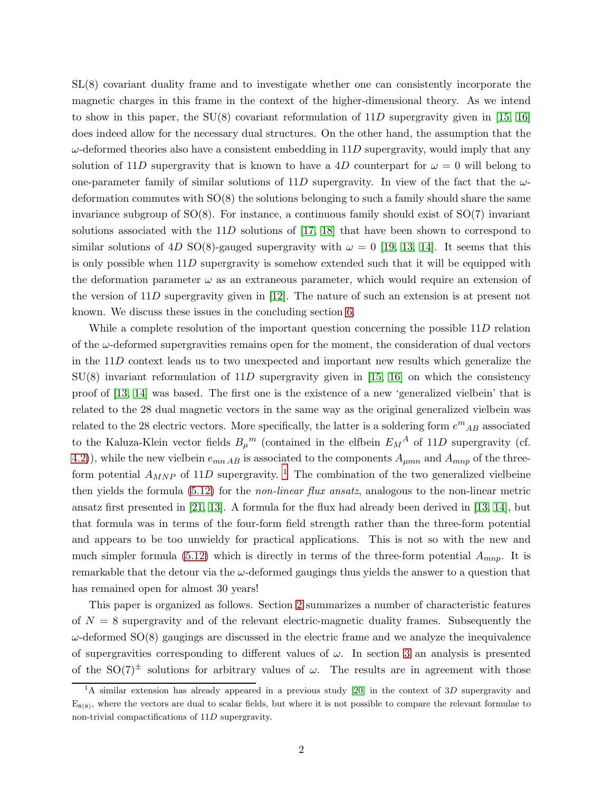SL(8) covariant duality frame and to investigate whether one can consistently incorporate the magnetic charges in this frame in the context of the higher-dimensional theory. As we intend to show in this paper, the  $SU(8)$  covariant reformulation of  $11D$  supergravity given in [\[15,](#page-27-7) [16\]](#page-27-8) does indeed allow for the necessary dual structures. On the other hand, the assumption that the  $\omega$ -deformed theories also have a consistent embedding in 11D supergravity, would imply that any solution of 11D supergravity that is known to have a 4D counterpart for  $\omega = 0$  will belong to one-parameter family of similar solutions of 11D supergravity. In view of the fact that the  $\omega$ deformation commutes with  $SO(8)$  the solutions belonging to such a family should share the same invariance subgroup of  $SO(8)$ . For instance, a continuous family should exist of  $SO(7)$  invariant solutions associated with the 11D solutions of [\[17,](#page-27-9) [18\]](#page-27-10) that have been shown to correspond to similar solutions of 4D SO(8)-gauged supergravity with  $\omega = 0$  [\[19,](#page-27-11) [13,](#page-27-5) [14\]](#page-27-6). It seems that this is only possible when  $11D$  supergravity is somehow extended such that it will be equipped with the deformation parameter  $\omega$  as an extraneous parameter, which would require an extension of the version of 11D supergravity given in [\[12\]](#page-27-4). The nature of such an extension is at present not known. We discuss these issues in the concluding section [6.](#page-22-0)

While a complete resolution of the important question concerning the possible 11D relation of the  $\omega$ -deformed supergravities remains open for the moment, the consideration of dual vectors in the 11D context leads us to two unexpected and important new results which generalize the  $SU(8)$  invariant reformulation of  $11D$  supergravity given in [\[15,](#page-27-7) [16\]](#page-27-8) on which the consistency proof of [\[13,](#page-27-5) [14\]](#page-27-6) was based. The first one is the existence of a new 'generalized vielbein' that is related to the 28 dual magnetic vectors in the same way as the original generalized vielbein was related to the 28 electric vectors. More specifically, the latter is a soldering form  $e^{m}{}_{AB}$  associated to the Kaluza-Klein vector fields  $B_{\mu}{}^{m}$  (contained in the elfbein  $E_{M}{}^{A}$  of 11D supergravity (cf. [4.2\)](#page-13-0)), while the new vielbein  $e_{mn AB}$  is associated to the components  $A_{\mu mn}$  and  $A_{mnp}$  of the threeform potential  $A_{MNP}$  of [1](#page-2-0)1D supergravity. <sup>1</sup> The combination of the two generalized vielbeine then yields the formula [\(5.12\)](#page-20-0) for the non-linear flux ansatz, analogous to the non-linear metric ansatz first presented in [\[21,](#page-27-12) [13\]](#page-27-5). A formula for the flux had already been derived in [\[13,](#page-27-5) [14\]](#page-27-6), but that formula was in terms of the four-form field strength rather than the three-form potential and appears to be too unwieldy for practical applications. This is not so with the new and much simpler formula [\(5.12\)](#page-20-0) which is directly in terms of the three-form potential  $A_{mnn}$ . It is remarkable that the detour via the  $\omega$ -deformed gaugings thus yields the answer to a question that has remained open for almost 30 years!

This paper is organized as follows. Section [2](#page-3-0) summarizes a number of characteristic features of  $N = 8$  supergravity and of the relevant electric-magnetic duality frames. Subsequently the  $\omega$ -deformed SO(8) gaugings are discussed in the electric frame and we analyze the inequivalence of supergravities corresponding to different values of  $\omega$ . In section [3](#page-10-0) an analysis is presented of the SO(7)<sup> $\pm$ </sup> solutions for arbitrary values of  $\omega$ . The results are in agreement with those

<span id="page-2-0"></span><sup>&</sup>lt;sup>1</sup>A similar extension has already appeared in a previous study [\[20\]](#page-27-13) in the context of 3D supergravity and  $E_{8(8)}$ , where the vectors are dual to scalar fields, but where it is not possible to compare the relevant formulae to non-trivial compactifications of 11D supergravity.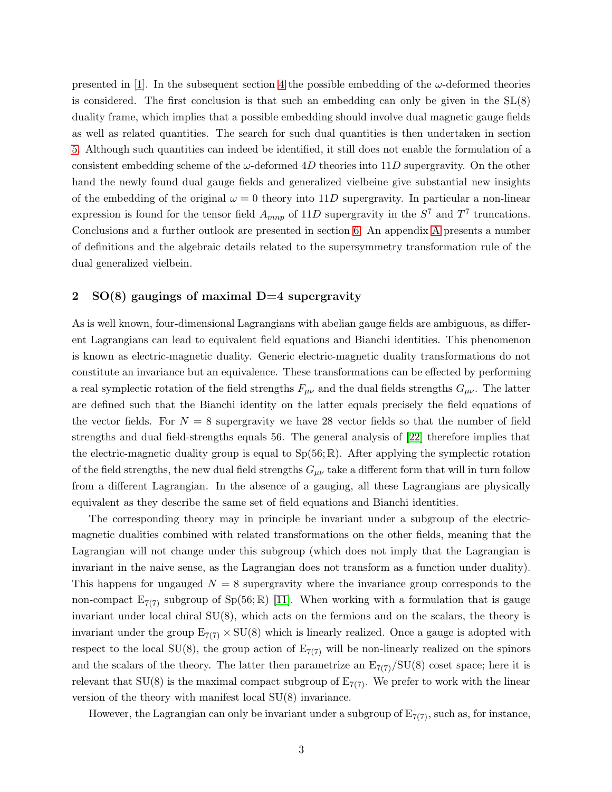presented in [\[1\]](#page-26-0). In the subsequent section [4](#page-13-1) the possible embedding of the  $\omega$ -deformed theories is considered. The first conclusion is that such an embedding can only be given in the  $SL(8)$ duality frame, which implies that a possible embedding should involve dual magnetic gauge fields as well as related quantities. The search for such dual quantities is then undertaken in section [5.](#page-18-0) Although such quantities can indeed be identified, it still does not enable the formulation of a consistent embedding scheme of the  $\omega$ -deformed 4D theories into 11D supergravity. On the other hand the newly found dual gauge fields and generalized vielbeine give substantial new insights of the embedding of the original  $\omega = 0$  theory into 11D supergravity. In particular a non-linear expression is found for the tensor field  $A_{mnp}$  of 11D supergravity in the  $S^7$  and  $T^7$  truncations. Conclusions and a further outlook are presented in section [6.](#page-22-0) An appendix [A](#page-24-0) presents a number of definitions and the algebraic details related to the supersymmetry transformation rule of the dual generalized vielbein.

# <span id="page-3-0"></span>2  $SO(8)$  gaugings of maximal D=4 supergravity

As is well known, four-dimensional Lagrangians with abelian gauge fields are ambiguous, as different Lagrangians can lead to equivalent field equations and Bianchi identities. This phenomenon is known as electric-magnetic duality. Generic electric-magnetic duality transformations do not constitute an invariance but an equivalence. These transformations can be effected by performing a real symplectic rotation of the field strengths  $F_{\mu\nu}$  and the dual fields strengths  $G_{\mu\nu}$ . The latter are defined such that the Bianchi identity on the latter equals precisely the field equations of the vector fields. For  $N = 8$  supergravity we have 28 vector fields so that the number of field strengths and dual field-strengths equals 56. The general analysis of [\[22\]](#page-27-14) therefore implies that the electric-magnetic duality group is equal to  $Sp(56;\mathbb{R})$ . After applying the symplectic rotation of the field strengths, the new dual field strengths  $G_{\mu\nu}$  take a different form that will in turn follow from a different Lagrangian. In the absence of a gauging, all these Lagrangians are physically equivalent as they describe the same set of field equations and Bianchi identities.

The corresponding theory may in principle be invariant under a subgroup of the electricmagnetic dualities combined with related transformations on the other fields, meaning that the Lagrangian will not change under this subgroup (which does not imply that the Lagrangian is invariant in the naive sense, as the Lagrangian does not transform as a function under duality). This happens for ungauged  $N = 8$  supergravity where the invariance group corresponds to the non-compact  $E_{7(7)}$  subgroup of  $Sp(56;\mathbb{R})$  [\[11\]](#page-27-3). When working with a formulation that is gauge invariant under local chiral  $SU(8)$ , which acts on the fermions and on the scalars, the theory is invariant under the group  $E_{7(7)} \times SU(8)$  which is linearly realized. Once a gauge is adopted with respect to the local  $SU(8)$ , the group action of  $E_{7(7)}$  will be non-linearly realized on the spinors and the scalars of the theory. The latter then parametrize an  $E_{7(7)}/SU(8)$  coset space; here it is relevant that  $SU(8)$  is the maximal compact subgroup of  $E_{7(7)}$ . We prefer to work with the linear version of the theory with manifest local SU(8) invariance.

However, the Lagrangian can only be invariant under a subgroup of  $E_{7(7)}$ , such as, for instance,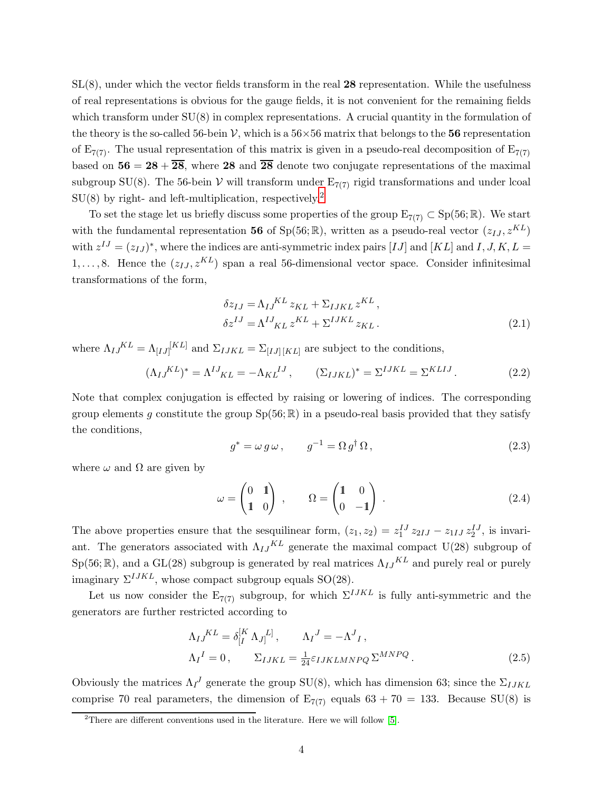$SL(8)$ , under which the vector fields transform in the real 28 representation. While the usefulness of real representations is obvious for the gauge fields, it is not convenient for the remaining fields which transform under  $SU(8)$  in complex representations. A crucial quantity in the formulation of the theory is the so-called 56-bein V, which is a  $56\times56$  matrix that belongs to the 56 representation of  $E_{7(7)}$ . The usual representation of this matrix is given in a pseudo-real decomposition of  $E_{7(7)}$ based on  $56 = 28 + 28$ , where 28 and  $\overline{28}$  denote two conjugate representations of the maximal subgroup SU(8). The 56-bein V will transform under  $E_{7(7)}$  rigid transformations and under lcoal  $SU(8)$  by right- and left-multiplication, respectively.<sup>[2](#page-4-0)</sup>

To set the stage let us briefly discuss some properties of the group  $E_{7(7)} \subset Sp(56;\mathbb{R})$ . We start with the fundamental representation 56 of Sp(56; R), written as a pseudo-real vector  $(z_{IJ}, z^{KL})$ with  $z^{IJ} = (z_{IJ})^*$ , where the indices are anti-symmetric index pairs [IJ] and [KL] and I, J, K, L =  $1, \ldots, 8$ . Hence the  $(z_{IJ}, z^{KL})$  span a real 56-dimensional vector space. Consider infinitesimal transformations of the form,

$$
\delta z_{IJ} = \Lambda_{IJ}^{KL} z_{KL} + \Sigma_{IJKL} z^{KL},
$$
  
\n
$$
\delta z^{IJ} = \Lambda^{IJ}{}_{KL} z^{KL} + \Sigma^{IJKL} z_{KL}.
$$
\n(2.1)

where  $\Lambda_{IJ}{}^{KL} = \Lambda_{[IJ]}{}^{[KL]}$  and  $\Sigma_{IJKL} = \Sigma_{[IJ][KL]}$  are subject to the conditions,

$$
(\Lambda_{IJ}^{KL})^* = \Lambda^{IJ}_{KL} = -\Lambda_{KL}^{IJ}, \qquad (\Sigma_{IJKL})^* = \Sigma^{IJKL} = \Sigma^{KLIJ}.
$$
 (2.2)

Note that complex conjugation is effected by raising or lowering of indices. The corresponding group elements q constitute the group  $Sp(56;\mathbb{R})$  in a pseudo-real basis provided that they satisfy the conditions,

$$
g^* = \omega \, g \, \omega \,, \qquad g^{-1} = \Omega \, g^\dagger \, \Omega \,, \tag{2.3}
$$

where  $\omega$  and  $\Omega$  are given by

$$
\omega = \begin{pmatrix} 0 & 1 \\ 1 & 0 \end{pmatrix} , \qquad \Omega = \begin{pmatrix} 1 & 0 \\ 0 & -1 \end{pmatrix} . \tag{2.4}
$$

The above properties ensure that the sesquilinear form,  $(z_1, z_2) = z_1^{IJ} z_{2IJ} - z_{1IJ} z_2^{IJ}$ , is invariant. The generators associated with  $\Lambda_{IJ}{}^{KL}$  generate the maximal compact U(28) subgroup of  $Sp(56;\mathbb{R})$ , and a GL(28) subgroup is generated by real matrices  $\Lambda_{IJ}{}^{KL}$  and purely real or purely imaginary  $\Sigma^{IJKL}$ , whose compact subgroup equals SO(28).

Let us now consider the  $E_{7(7)}$  subgroup, for which  $\Sigma^{IJKL}$  is fully anti-symmetric and the generators are further restricted according to

<span id="page-4-1"></span>
$$
\Lambda_{IJ}^{KL} = \delta_{[I}^{[K} \Lambda_{J]}^{L]}, \qquad \Lambda_{I}^{J} = -\Lambda^{J}{}_{I},
$$
  
\n
$$
\Lambda_{I}^{I} = 0, \qquad \Sigma_{IJKL} = \frac{1}{24} \varepsilon_{IJKLMNPQ} \Sigma^{MNPQ}.
$$
\n(2.5)

Obviously the matrices  $\Lambda_{I}^{J}$  generate the group SU(8), which has dimension 63; since the  $\Sigma_{IJKL}$ comprise 70 real parameters, the dimension of  $E_{7(7)}$  equals  $63 + 70 = 133$ . Because SU(8) is

<span id="page-4-0"></span><sup>&</sup>lt;sup>2</sup>There are different conventions used in the literature. Here we will follow [\[5\]](#page-26-4).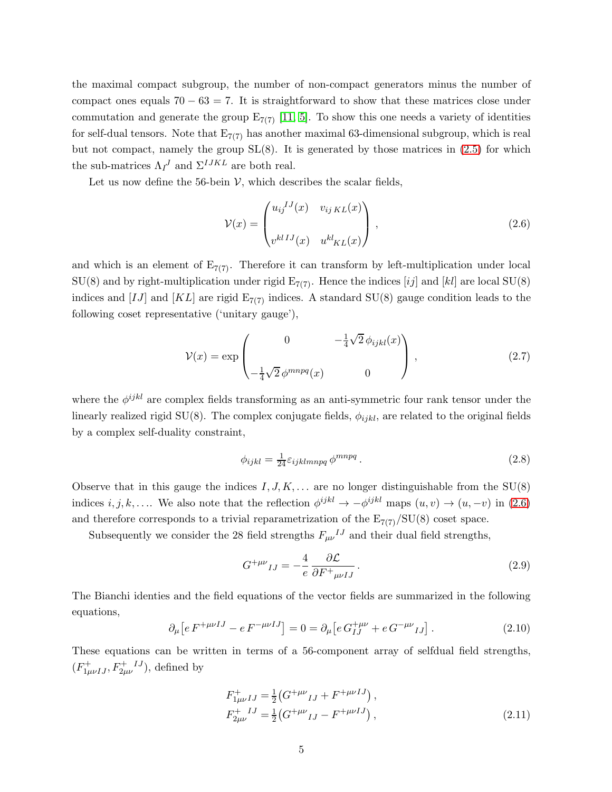the maximal compact subgroup, the number of non-compact generators minus the number of compact ones equals  $70 - 63 = 7$ . It is straightforward to show that these matrices close under commutation and generate the group  $E_{7(7)}$  [\[11,](#page-27-3) [5\]](#page-26-4). To show this one needs a variety of identities for self-dual tensors. Note that  $E_{7(7)}$  has another maximal 63-dimensional subgroup, which is real but not compact, namely the group  $SL(8)$ . It is generated by those matrices in  $(2.5)$  for which the sub-matrices  $\Lambda_{I}^{J}$  and  $\Sigma^{IJKL}$  are both real.

Let us now define the 56-bein  $V$ , which describes the scalar fields,

<span id="page-5-0"></span>
$$
\mathcal{V}(x) = \begin{pmatrix} u_{ij}^{IJ}(x) & v_{ijKL}(x) \\ v^{klIJ}(x) & u^{kl}_{KL}(x) \end{pmatrix},
$$
\n(2.6)

and which is an element of  $E_{7(7)}$ . Therefore it can transform by left-multiplication under local  $SU(8)$  and by right-multiplication under rigid  $E_{7(7)}$ . Hence the indices [ij] and [kl] are local SU(8) indices and [IJ] and [KL] are rigid  $E_{7(7)}$  indices. A standard SU(8) gauge condition leads to the following coset representative ('unitary gauge'),

<span id="page-5-2"></span>
$$
\mathcal{V}(x) = \exp\begin{pmatrix} 0 & -\frac{1}{4}\sqrt{2}\,\phi_{ijkl}(x) \\ -\frac{1}{4}\sqrt{2}\,\phi^{mnpq}(x) & 0 \end{pmatrix},\tag{2.7}
$$

where the  $\phi^{ijkl}$  are complex fields transforming as an anti-symmetric four rank tensor under the linearly realized rigid SU(8). The complex conjugate fields,  $\phi_{ijkl}$ , are related to the original fields by a complex self-duality constraint,

<span id="page-5-3"></span>
$$
\phi_{ijkl} = \frac{1}{24} \varepsilon_{ijklmnpq} \phi^{mnpq} \,. \tag{2.8}
$$

Observe that in this gauge the indices  $I, J, K, \ldots$  are no longer distinguishable from the SU(8) indices  $i, j, k, \ldots$ . We also note that the reflection  $\phi^{ijkl} \to -\phi^{ijkl}$  maps  $(u, v) \to (u, -v)$  in [\(2.6\)](#page-5-0) and therefore corresponds to a trivial reparametrization of the  $E_{7(7)}/SU(8)$  coset space.

Subsequently we consider the 28 field strengths  $F_{\mu\nu}{}^{IJ}$  and their dual field strengths,

$$
G^{+\mu\nu}{}_{IJ} = -\frac{4}{e} \frac{\partial \mathcal{L}}{\partial F^+{}_{\mu\nu IJ}}.
$$
\n(2.9)

The Bianchi identies and the field equations of the vector fields are summarized in the following equations,

$$
\partial_{\mu} \left[ e \, F^{+\mu\nu IJ} - e \, F^{-\mu\nu IJ} \right] = 0 = \partial_{\mu} \left[ e \, G^{+\mu\nu}_{IJ} + e \, G^{-\mu\nu}_{IJ} \right]. \tag{2.10}
$$

These equations can be written in terms of a 56-component array of selfdual field strengths,  $(F^{\dagger}_{1\mu\nu IJ}, F^{\dagger}_{2\mu\nu}{}^{IJ})$ , defined by

<span id="page-5-1"></span>
$$
F_{1\mu\nu}^{+}{}_{IJ} = \frac{1}{2} \left( G^{+\mu\nu}{}_{IJ} + F^{+\mu\nu}{}^{IJ} \right),
$$
  
\n
$$
F_{2\mu\nu}^{+}{}^{IJ} = \frac{1}{2} \left( G^{+\mu\nu}{}_{IJ} - F^{+\mu\nu}{}^{IJ} \right),
$$
\n(2.11)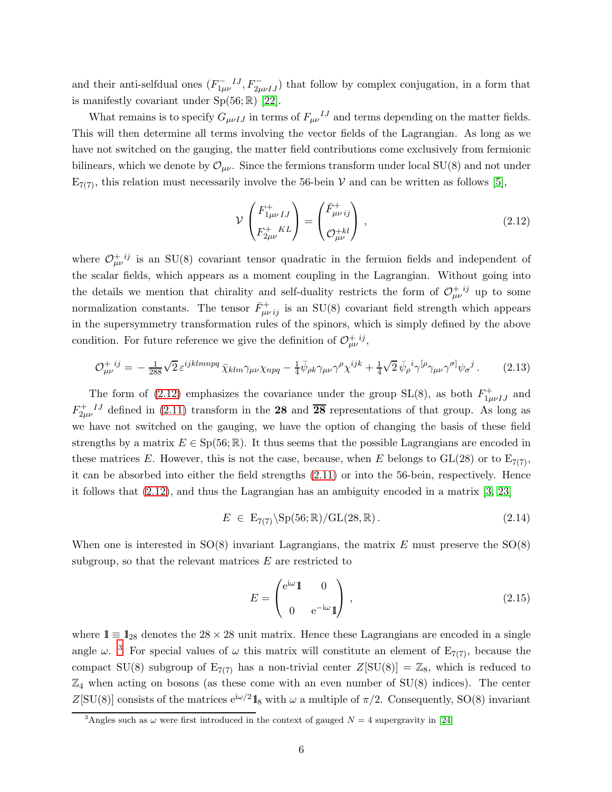and their anti-selfdual ones  $(F_{1\mu\nu}^{-IJ}, F_{2\mu\nu IJ}^{-})$  that follow by complex conjugation, in a form that is manifestly covariant under  $Sp(56;\mathbb{R})$  [\[22\]](#page-27-14).

What remains is to specify  $G_{\mu\nu IJ}$  in terms of  $F_{\mu\nu}{}^{IJ}$  and terms depending on the matter fields. This will then determine all terms involving the vector fields of the Lagrangian. As long as we have not switched on the gauging, the matter field contributions come exclusively from fermionic bilinears, which we denote by  $\mathcal{O}_{\mu\nu}$ . Since the fermions transform under local SU(8) and not under  $E_{7(7)}$ , this relation must necessarily involve the 56-bein V and can be written as follows [\[5\]](#page-26-4),

<span id="page-6-0"></span>
$$
\mathcal{V}\begin{pmatrix} F_{1\mu\nu IJ}^+ \\ F_{2\mu\nu}^+{}^{KL} \end{pmatrix} = \begin{pmatrix} \bar{F}_{\mu\nu ij}^+ \\ \mathcal{O}_{\mu\nu}^{+kl} \end{pmatrix},\tag{2.12}
$$

where  $\mathcal{O}_{\mu\nu}^{+ij}$  is an SU(8) covariant tensor quadratic in the fermion fields and independent of the scalar fields, which appears as a moment coupling in the Lagrangian. Without going into the details we mention that chirality and self-duality restricts the form of  $\mathcal{O}_{\mu\nu}^{+ij}$  up to some normalization constants. The tensor  $\bar{F}^+_{\mu\nu ij}$  is an SU(8) covariant field strength which appears in the supersymmetry transformation rules of the spinors, which is simply defined by the above condition. For future reference we give the definition of  $\mathcal{O}_{\mu\nu}^{+ij}$ ,

$$
\mathcal{O}_{\mu\nu}^{+ij} = -\frac{1}{288}\sqrt{2}\,\varepsilon^{ijklmnpq}\,\bar{\chi}_{klm}\gamma_{\mu\nu}\chi_{npq} - \frac{1}{4}\bar{\psi}_{\rho k}\gamma_{\mu\nu}\gamma^{\rho}\chi^{ijk} + \frac{1}{4}\sqrt{2}\,\bar{\psi}_{\rho}{}^{i}\gamma^{[\rho}\gamma_{\mu\nu}\gamma^{\sigma]}\psi_{\sigma}{}^{j} \,. \tag{2.13}
$$

The form of [\(2.12\)](#page-6-0) emphasizes the covariance under the group  $SL(8)$ , as both  $F^+_{1\mu\nu IJ}$  and  $F_{2\mu\nu}^{+IJ}$  defined in [\(2.11\)](#page-5-1) transform in the 28 and  $\overline{28}$  representations of that group. As long as we have not switched on the gauging, we have the option of changing the basis of these field strengths by a matrix  $E \in Sp(56;\mathbb{R})$ . It thus seems that the possible Lagrangians are encoded in these matrices E. However, this is not the case, because, when E belongs to  $GL(28)$  or to  $E_{7(7)}$ , it can be absorbed into either the field strengths [\(2.11\)](#page-5-1) or into the 56-bein, respectively. Hence it follows that [\(2.12\)](#page-6-0), and thus the Lagrangian has an ambiguity encoded in a matrix [\[3,](#page-26-2) [23\]](#page-27-15)

$$
E \in \mathcal{E}_{7(7)}\backslash \mathrm{Sp}(56; \mathbb{R}) / \mathrm{GL}(28, \mathbb{R}). \tag{2.14}
$$

When one is interested in  $SO(8)$  invariant Lagrangians, the matrix E must preserve the  $SO(8)$ subgroup, so that the relevant matrices  $E$  are restricted to

<span id="page-6-2"></span>
$$
E = \begin{pmatrix} e^{i\omega} \mathbf{1} & 0 \\ 0 & e^{-i\omega} \mathbf{1} \end{pmatrix},
$$
\n(2.15)

where  $1 \equiv 1_{28}$  denotes the 28 × 28 unit matrix. Hence these Lagrangians are encoded in a single angle  $\omega$ .<sup>[3](#page-6-1)</sup> For special values of  $\omega$  this matrix will constitute an element of  $E_{7(7)}$ , because the compact SU(8) subgroup of  $E_{7(7)}$  has a non-trivial center  $Z[SU(8)] = \mathbb{Z}_8$ , which is reduced to  $\mathbb{Z}_4$  when acting on bosons (as these come with an even number of  $SU(8)$  indices). The center Z[SU(8)] consists of the matrices  $e^{i\omega/2}$ **1**<sub>8</sub> with  $\omega$  a multiple of  $\pi/2$ . Consequently, SO(8) invariant

<span id="page-6-1"></span><sup>&</sup>lt;sup>3</sup>Angles such as  $\omega$  were first introduced in the context of gauged  $N = 4$  supergravity in [\[24\]](#page-28-0)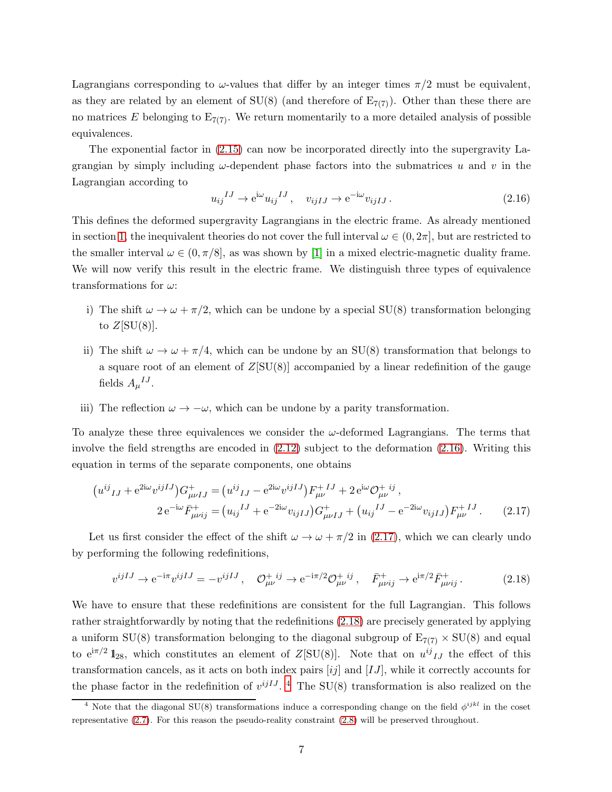Lagrangians corresponding to  $\omega$ -values that differ by an integer times  $\pi/2$  must be equivalent, as they are related by an element of  $SU(8)$  (and therefore of  $E_{7(7)}$ ). Other than these there are no matrices E belonging to  $E_{7(7)}$ . We return momentarily to a more detailed analysis of possible equivalences.

The exponential factor in [\(2.15\)](#page-6-2) can now be incorporated directly into the supergravity Lagrangian by simply including  $\omega$ -dependent phase factors into the submatrices u and v in the Lagrangian according to

<span id="page-7-0"></span>
$$
u_{ij}^{IJ} \to e^{i\omega} u_{ij}^{IJ}, \quad v_{ijIJ} \to e^{-i\omega} v_{ijIJ}.
$$
\n(2.16)

This defines the deformed supergravity Lagrangians in the electric frame. As already mentioned in section [1,](#page-1-0) the inequivalent theories do not cover the full interval  $\omega \in (0, 2\pi]$ , but are restricted to the smaller interval  $\omega \in (0, \pi/8]$ , as was shown by [\[1\]](#page-26-0) in a mixed electric-magnetic duality frame. We will now verify this result in the electric frame. We distinguish three types of equivalence transformations for  $\omega$ :

- i) The shift  $\omega \to \omega + \pi/2$ , which can be undone by a special SU(8) transformation belonging to  $Z[SU(8)]$ .
- ii) The shift  $\omega \to \omega + \pi/4$ , which can be undone by an SU(8) transformation that belongs to a square root of an element of  $Z[SU(8)]$  accompanied by a linear redefinition of the gauge fields  $A_{\mu}{}^{IJ}$ .
- iii) The reflection  $\omega \to -\omega$ , which can be undone by a parity transformation.

To analyze these three equivalences we consider the  $\omega$ -deformed Lagrangians. The terms that involve the field strengths are encoded in [\(2.12\)](#page-6-0) subject to the deformation [\(2.16\)](#page-7-0). Writing this equation in terms of the separate components, one obtains

$$
(u^{ij}{}_{IJ} + e^{2i\omega}v^{ijIJ})G^+_{\mu\nu IJ} = (u^{ij}{}_{IJ} - e^{2i\omega}v^{ijIJ})F^+_{\mu\nu} + 2e^{i\omega}\mathcal{O}^{+ij}_{\mu\nu},
$$
  
\n
$$
2e^{-i\omega}\bar{F}^+_{\mu\nu ij} = (u_{ij}{}^{IJ} + e^{-2i\omega}v_{ijIJ})G^+_{\mu\nu IJ} + (u_{ij}{}^{IJ} - e^{-2i\omega}v_{ijIJ})F^+_{\mu\nu}.
$$
 (2.17)

Let us first consider the effect of the shift  $\omega \to \omega + \pi/2$  in [\(2.17\)](#page-7-1), which we can clearly undo by performing the following redefinitions,

<span id="page-7-2"></span><span id="page-7-1"></span>
$$
v^{ijIJ} \to e^{-i\pi} v^{ijIJ} = -v^{ijIJ}, \quad \mathcal{O}^{+ij}_{\mu\nu} \to e^{-i\pi/2} \mathcal{O}^{+ij}_{\mu\nu}, \quad \bar{F}^{+}_{\mu\nu ij} \to e^{i\pi/2} \bar{F}^{+}_{\mu\nu ij}.
$$
 (2.18)

We have to ensure that these redefinitions are consistent for the full Lagrangian. This follows rather straightforwardly by noting that the redefinitions [\(2.18\)](#page-7-2) are precisely generated by applying a uniform SU(8) transformation belonging to the diagonal subgroup of  $E_{7(7)} \times SU(8)$  and equal to  $e^{i\pi/2} 1_{28}$ , which constitutes an element of  $Z[\text{SU(8)}]$ . Note that on  $u^{ij}{}_{IJ}$  the effect of this transformation cancels, as it acts on both index pairs  $[ij]$  and  $[IJ]$ , while it correctly accounts for the phase factor in the redefinition of  $v^{ijIJ}$ .<sup>[4](#page-7-3)</sup> The SU(8) transformation is also realized on the

<span id="page-7-3"></span><sup>&</sup>lt;sup>4</sup> Note that the diagonal SU(8) transformations induce a corresponding change on the field  $\phi^{ijkl}$  in the coset representative [\(2.7\)](#page-5-2). For this reason the pseudo-reality constraint [\(2.8\)](#page-5-3) will be preserved throughout.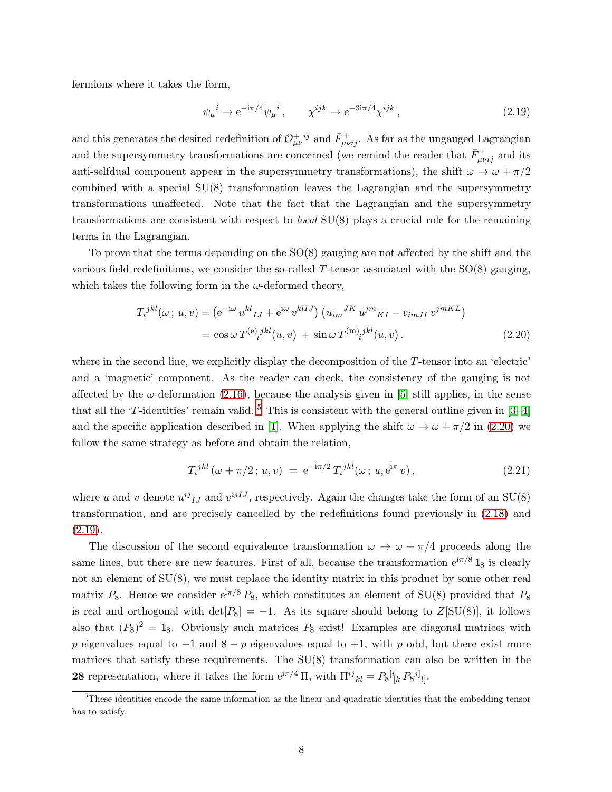fermions where it takes the form,

<span id="page-8-2"></span>
$$
\psi_{\mu}{}^{i} \to e^{-i\pi/4} \psi_{\mu}{}^{i} , \qquad \chi^{ijk} \to e^{-3i\pi/4} \chi^{ijk} , \qquad (2.19)
$$

and this generates the desired redefinition of  $\mathcal{O}^{+ ij}_{\mu\nu}$  and  $\bar{F}^{+}_{\mu\nu ij}$ . As far as the ungauged Lagrangian and the supersymmetry transformations are concerned (we remind the reader that  $\bar{F}^+_{\mu\nu ij}$  and its anti-selfdual component appear in the supersymmetry transformations), the shift  $\omega \to \omega + \pi/2$ combined with a special  $SU(8)$  transformation leaves the Lagrangian and the supersymmetry transformations unaffected. Note that the fact that the Lagrangian and the supersymmetry transformations are consistent with respect to *local*  $SU(8)$  plays a crucial role for the remaining terms in the Lagrangian.

To prove that the terms depending on the SO(8) gauging are not affected by the shift and the various field redefinitions, we consider the so-called  $T$ -tensor associated with the  $SO(8)$  gauging, which takes the following form in the  $\omega$ -deformed theory,

$$
T_i^{jkl}(\omega; u, v) = \left(e^{-i\omega} u^{kl}{}_{IJ} + e^{i\omega} v^{klIJ}\right) \left(u_{im}{}^{JK} u^{jm}{}_{KI} - v_{imJI} v^{jmKL}\right)
$$

$$
= \cos \omega T^{(e)}{}_i{}^{jkl}(u, v) + \sin \omega T^{(m)}{}_i{}^{jkl}(u, v) . \tag{2.20}
$$

where in the second line, we explicitly display the decomposition of the T-tensor into an 'electric' and a 'magnetic' component. As the reader can check, the consistency of the gauging is not affected by the  $\omega$ -deformation [\(2.16\)](#page-7-0), because the analysis given in [\[5\]](#page-26-4) still applies, in the sense that all the 'T-identities' remain valid.  $5$  This is consistent with the general outline given in [\[3,](#page-26-2) [4\]](#page-26-3) and the specific application described in [\[1\]](#page-26-0). When applying the shift  $\omega \to \omega + \pi/2$  in [\(2.20\)](#page-8-1) we follow the same strategy as before and obtain the relation,

<span id="page-8-3"></span><span id="page-8-1"></span>
$$
T_i^{jkl}(\omega + \pi/2; u, v) = e^{-i\pi/2} T_i^{jkl}(\omega; u, e^{i\pi} v), \qquad (2.21)
$$

where u and v denote  $u^{ij}I_J$  and  $v^{ijIJ}$ , respectively. Again the changes take the form of an SU(8) transformation, and are precisely cancelled by the redefinitions found previously in [\(2.18\)](#page-7-2) and  $(2.19).$  $(2.19).$ 

The discussion of the second equivalence transformation  $\omega \to \omega + \pi/4$  proceeds along the same lines, but there are new features. First of all, because the transformation  $e^{i\pi/8} 1$ <sub>8</sub> is clearly not an element of  $SU(8)$ , we must replace the identity matrix in this product by some other real matrix  $P_8$ . Hence we consider  $e^{i\pi/8} P_8$ , which constitutes an element of SU(8) provided that  $P_8$ is real and orthogonal with det $[P_8] = -1$ . As its square should belong to  $Z[SU(8)]$ , it follows also that  $(P_8)^2 = 1_8$ . Obviously such matrices  $P_8$  exist! Examples are diagonal matrices with p eigenvalues equal to  $-1$  and  $8 - p$  eigenvalues equal to  $+1$ , with p odd, but there exist more matrices that satisfy these requirements. The  $SU(8)$  transformation can also be written in the **28** representation, where it takes the form  $e^{i\pi/4} \Pi$ , with  $\Pi^{ij}{}_{kl} = P_8^{[i}{}_{[k} P_8^{j]}{}_{l]}$ .

<span id="page-8-0"></span><sup>5</sup>These identities encode the same information as the linear and quadratic identities that the embedding tensor has to satisfy.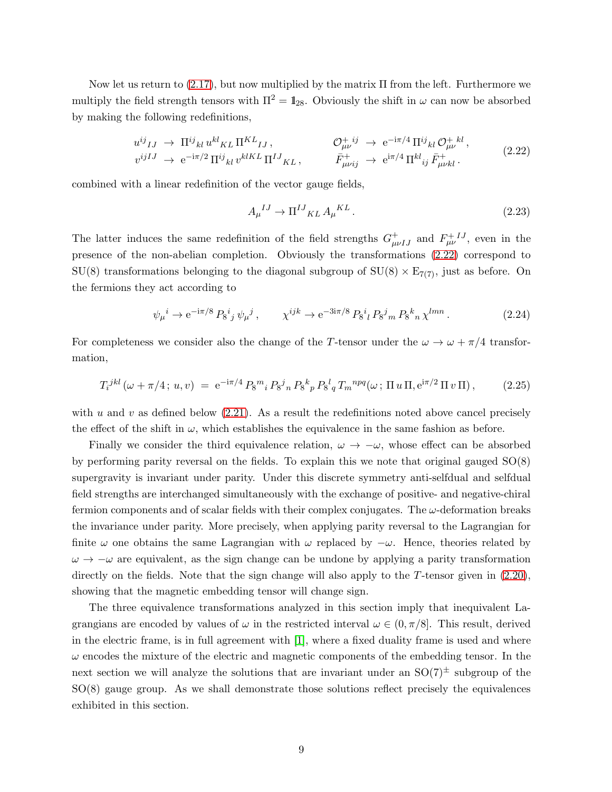Now let us return to  $(2.17)$ , but now multiplied by the matrix  $\Pi$  from the left. Furthermore we multiply the field strength tensors with  $\Pi^2 = \mathbb{1}_{28}$ . Obviously the shift in  $\omega$  can now be absorbed by making the following redefinitions,

<span id="page-9-0"></span>
$$
u^{ij}{}_{IJ} \rightarrow \Pi^{ij}{}_{kl} u^{kl}{}_{KL} \Pi^{KL}{}_{IJ} , \qquad \mathcal{O}^{+}_{\mu\nu}{}^{ij} \rightarrow e^{-i\pi/4} \Pi^{ij}{}_{kl} \mathcal{O}^{+}_{\mu\nu}{}^{kl} ,
$$
  
\n
$$
v^{ijIJ} \rightarrow e^{-i\pi/2} \Pi^{ij}{}_{kl} v^{klKL} \Pi^{IJ}{}_{KL} , \qquad \bar{F}^{+}_{\mu\nu ij} \rightarrow e^{i\pi/4} \Pi^{kl}{}_{ij} \bar{F}^{+}_{\mu\nu kl} .
$$
\n(2.22)

combined with a linear redefinition of the vector gauge fields,

<span id="page-9-1"></span>
$$
A_{\mu}{}^{IJ} \rightarrow \Pi^{IJ}{}_{KL} A_{\mu}{}^{KL} \,. \tag{2.23}
$$

The latter induces the same redefinition of the field strengths  $G_{\mu\nu IJ}^+$  and  $F_{\mu\nu}^{+IJ}$ , even in the presence of the non-abelian completion. Obviously the transformations [\(2.22\)](#page-9-0) correspond to  $SU(8)$  transformations belonging to the diagonal subgroup of  $SU(8) \times E_{7(7)}$ , just as before. On the fermions they act according to

$$
\psi_{\mu}{}^{i} \to e^{-i\pi/8} \, P_8{}^{i}{}_{j} \, \psi_{\mu}{}^{j} \,, \qquad \chi^{ijk} \to e^{-3i\pi/8} \, P_8{}^{i}{}_{l} \, P_8{}^{j}{}_{m} \, P_8{}^{k}{}_{n} \, \chi^{lmn} \,. \tag{2.24}
$$

For completeness we consider also the change of the T-tensor under the  $\omega \to \omega + \pi/4$  transformation,

<span id="page-9-2"></span>
$$
T_i^{jkl}(\omega + \pi/4; u, v) = e^{-i\pi/4} P_8^m{}_i P_8^j{}_n P_8^k{}_p P_8^l{}_q T_m^{npq}(\omega; \Pi u \Pi, e^{i\pi/2} \Pi v \Pi), \qquad (2.25)
$$

with u and v as defined below  $(2.21)$ . As a result the redefinitions noted above cancel precisely the effect of the shift in  $\omega$ , which establishes the equivalence in the same fashion as before.

Finally we consider the third equivalence relation,  $\omega \to -\omega$ , whose effect can be absorbed by performing parity reversal on the fields. To explain this we note that original gauged SO(8) supergravity is invariant under parity. Under this discrete symmetry anti-selfdual and selfdual field strengths are interchanged simultaneously with the exchange of positive- and negative-chiral fermion components and of scalar fields with their complex conjugates. The  $\omega$ -deformation breaks the invariance under parity. More precisely, when applying parity reversal to the Lagrangian for finite  $\omega$  one obtains the same Lagrangian with  $\omega$  replaced by  $-\omega$ . Hence, theories related by  $\omega \to -\omega$  are equivalent, as the sign change can be undone by applying a parity transformation directly on the fields. Note that the sign change will also apply to the T-tensor given in  $(2.20)$ , showing that the magnetic embedding tensor will change sign.

The three equivalence transformations analyzed in this section imply that inequivalent Lagrangians are encoded by values of  $\omega$  in the restricted interval  $\omega \in (0, \pi/8]$ . This result, derived in the electric frame, is in full agreement with [\[1\]](#page-26-0), where a fixed duality frame is used and where  $\omega$  encodes the mixture of the electric and magnetic components of the embedding tensor. In the next section we will analyze the solutions that are invariant under an  $SO(7)^{\pm}$  subgroup of the SO(8) gauge group. As we shall demonstrate those solutions reflect precisely the equivalences exhibited in this section.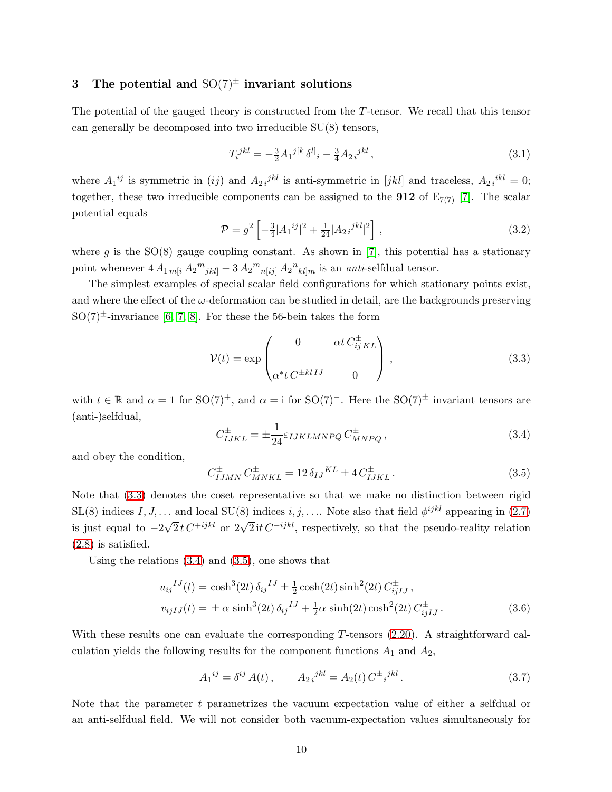# <span id="page-10-0"></span>3 The potential and  $SO(7)^{\pm}$  invariant solutions

The potential of the gauged theory is constructed from the T-tensor. We recall that this tensor can generally be decomposed into two irreducible SU(8) tensors,

$$
T_i^{jkl} = -\frac{3}{2} A_1^{j[k} \delta^{l]}_i - \frac{3}{4} A_2 i^{jkl},\tag{3.1}
$$

where  $A_1^{ij}$  is symmetric in (ij) and  $A_2 i^{jkl}$  is anti-symmetric in [jkl] and traceless,  $A_2 i^{kl} = 0$ ; together, these two irreducible components can be assigned to the **912** of  $E_{7(7)}$  [\[7\]](#page-26-6). The scalar potential equals

$$
\mathcal{P} = g^2 \left[ -\frac{3}{4} |A_1^{ij}|^2 + \frac{1}{24} |A_2^{jkl}|^2 \right],\tag{3.2}
$$

where g is the  $SO(8)$  gauge coupling constant. As shown in [\[7\]](#page-26-6), this potential has a stationary point whenever  $4 A_{1\,m[i} A_2^m{}_{jkl]} - 3 A_2^m{}_{n[ij]} A_2^m{}_{kl]m}$  is an *anti*-selfdual tensor.

The simplest examples of special scalar field configurations for which stationary points exist, and where the effect of the  $\omega$ -deformation can be studied in detail, are the backgrounds preserving  $SO(7)^\pm$ -invariance [\[6,](#page-26-5) [7,](#page-26-6) [8\]](#page-27-0). For these the 56-bein takes the form

<span id="page-10-1"></span>
$$
\mathcal{V}(t) = \exp\begin{pmatrix} 0 & \alpha t C_{ij}^{\pm} K L \\ \alpha^* t C^{\pm klIJ} & 0 \end{pmatrix},
$$
\n(3.3)

with  $t \in \mathbb{R}$  and  $\alpha = 1$  for SO(7)<sup>+</sup>, and  $\alpha = i$  for SO(7)<sup>-</sup>. Here the SO(7)<sup>±</sup> invariant tensors are (anti-)selfdual,

<span id="page-10-2"></span>
$$
C_{IJKL}^{\pm} = \pm \frac{1}{24} \varepsilon_{IJKLMNPQ} C_{MNPQ}^{\pm}, \qquad (3.4)
$$

and obey the condition,

<span id="page-10-3"></span>
$$
C_{IJMN}^{\pm} C_{MNKL}^{\pm} = 12 \,\delta_{IJ}{}^{KL} \pm 4 \, C_{IJKL}^{\pm} \,. \tag{3.5}
$$

Note that [\(3.3\)](#page-10-1) denotes the coset representative so that we make no distinction between rigid  $SL(8)$  indices  $I, J, \ldots$  and local  $SU(8)$  indices  $i, j, \ldots$ . Note also that field  $\phi^{ijkl}$  appearing in  $(2.7)$ is just equal to  $-2\sqrt{2}t C^{+ijkl}$  or  $2\sqrt{2}t C^{-ijkl}$ , respectively, so that the pseudo-reality relation [\(2.8\)](#page-5-3) is satisfied.

Using the relations [\(3.4\)](#page-10-2) and [\(3.5\)](#page-10-3), one shows that

$$
u_{ij}^{IJ}(t) = \cosh^3(2t) \,\delta_{ij}^{IJ} \pm \frac{1}{2} \cosh(2t) \sinh^2(2t) \, C_{ijIJ}^{\pm} \,,
$$
  

$$
v_{ijIJ}(t) = \pm \alpha \, \sinh^3(2t) \,\delta_{ij}^{IJ} + \frac{1}{2} \alpha \, \sinh(2t) \cosh^2(2t) \, C_{ijIJ}^{\pm} \,. \tag{3.6}
$$

With these results one can evaluate the corresponding T-tensors  $(2.20)$ . A straightforward calculation yields the following results for the component functions  $A_1$  and  $A_2$ ,

<span id="page-10-5"></span><span id="page-10-4"></span>
$$
A_1^{ij} = \delta^{ij} A(t), \qquad A_{2i}^{jkl} = A_2(t) C^{\pm i}^{jkl}.
$$
 (3.7)

Note that the parameter  $t$  parametrizes the vacuum expectation value of either a selfdual or an anti-selfdual field. We will not consider both vacuum-expectation values simultaneously for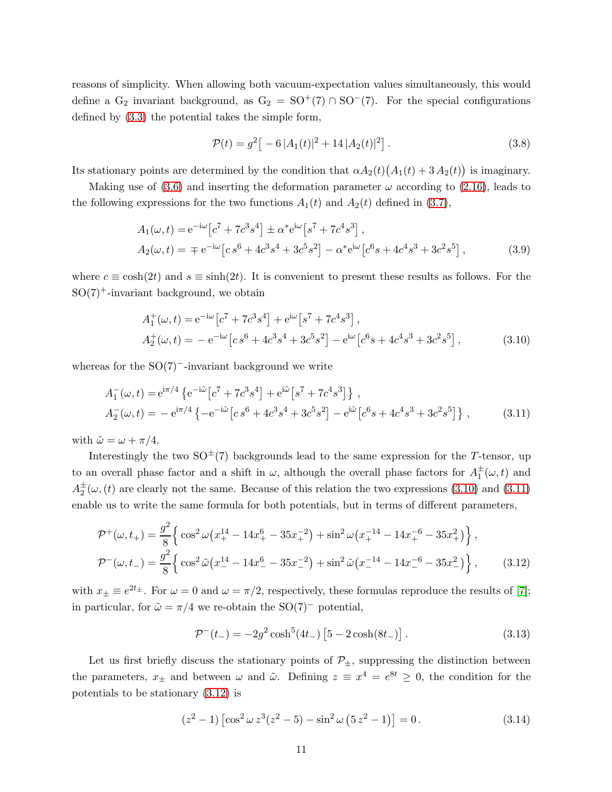reasons of simplicity. When allowing both vacuum-expectation values simultaneously, this would define a G<sub>2</sub> invariant background, as  $G_2 = SO^+(7) \cap SO^-(7)$ . For the special configurations defined by [\(3.3\)](#page-10-1) the potential takes the simple form,

<span id="page-11-0"></span>
$$
\mathcal{P}(t) = g^2 \left[ -6 |A_1(t)|^2 + 14 |A_2(t)|^2 \right]. \tag{3.8}
$$

Its stationary points are determined by the condition that  $\alpha A_2(t) (A_1(t) + 3 A_2(t))$  is imaginary.

Making use of [\(3.6\)](#page-10-4) and inserting the deformation parameter  $\omega$  according to [\(2.16\)](#page-7-0), leads to the following expressions for the two functions  $A_1(t)$  and  $A_2(t)$  defined in [\(3.7\)](#page-10-5),

$$
A_1(\omega, t) = e^{-i\omega} \left[ c^7 + 7c^3 s^4 \right] \pm \alpha^* e^{i\omega} \left[ s^7 + 7c^4 s^3 \right],
$$
  
\n
$$
A_2(\omega, t) = \mp e^{-i\omega} \left[ c s^6 + 4c^3 s^4 + 3c^5 s^2 \right] - \alpha^* e^{i\omega} \left[ c^6 s + 4c^4 s^3 + 3c^2 s^5 \right],
$$
\n(3.9)

where  $c \equiv \cosh(2t)$  and  $s \equiv \sinh(2t)$ . It is convenient to present these results as follows. For the  $SO(7)$ <sup>+</sup>-invariant background, we obtain

<span id="page-11-1"></span>
$$
A_1^+(\omega, t) = e^{-i\omega} \left[ c^7 + 7c^3 s^4 \right] + e^{i\omega} \left[ s^7 + 7c^4 s^3 \right],
$$
  
\n
$$
A_2^+(\omega, t) = -e^{-i\omega} \left[ c s^6 + 4c^3 s^4 + 3c^5 s^2 \right] - e^{i\omega} \left[ c^6 s + 4c^4 s^3 + 3c^2 s^5 \right],
$$
\n(3.10)

whereas for the  $SO(7)$ <sup>-</sup>-invariant background we write

$$
A_1^-(\omega, t) = e^{i\pi/4} \left\{ e^{-i\tilde{\omega}} \left[ c^7 + 7c^3 s^4 \right] + e^{i\tilde{\omega}} \left[ s^7 + 7c^4 s^3 \right] \right\},
$$
  
\n
$$
A_2^-(\omega, t) = -e^{i\pi/4} \left\{ -e^{-i\tilde{\omega}} \left[ c s^6 + 4c^3 s^4 + 3c^5 s^2 \right] - e^{i\tilde{\omega}} \left[ c^6 s + 4c^4 s^3 + 3c^2 s^5 \right] \right\},
$$
\n(3.11)

with  $\tilde{\omega} = \omega + \pi/4$ .

Interestingly the two  $SO^{\pm}(7)$  backgrounds lead to the same expression for the T-tensor, up to an overall phase factor and a shift in  $\omega$ , although the overall phase factors for  $A_1^{\pm}(\omega, t)$  and  $A_2^{\pm}(\omega, (t)$  are clearly not the same. Because of this relation the two expressions [\(3.10\)](#page-11-0) and [\(3.11\)](#page-11-1) enable us to write the same formula for both potentials, but in terms of different parameters,

$$
\mathcal{P}^{+}(\omega, t_{+}) = \frac{g^{2}}{8} \Big\{ \cos^{2} \omega \big( x_{+}^{14} - 14x_{+}^{6} - 35x_{+}^{-2} \big) + \sin^{2} \omega \big( x_{+}^{-14} - 14x_{+}^{-6} - 35x_{+}^{2} \big) \Big\},
$$
  

$$
\mathcal{P}^{-}(\omega, t_{-}) = \frac{g^{2}}{8} \Big\{ \cos^{2} \tilde{\omega} \big( x_{-}^{14} - 14x_{-}^{6} - 35x_{-}^{-2} \big) + \sin^{2} \tilde{\omega} \big( x_{-}^{-14} - 14x_{-}^{-6} - 35x_{-}^{2} \big) \Big\}, \qquad (3.12)
$$

with  $x_{\pm} \equiv e^{2t_{\pm}}$ . For  $\omega = 0$  and  $\omega = \pi/2$ , respectively, these formulas reproduce the results of [\[7\]](#page-26-6); in particular, for  $\tilde{\omega} = \pi/4$  we re-obtain the SO(7)<sup>-</sup> potential,

<span id="page-11-2"></span>
$$
\mathcal{P}^{-}(t_{-}) = -2g^{2} \cosh^{5}(4t_{-}) \left[ 5 - 2 \cosh(8t_{-}) \right]. \tag{3.13}
$$

Let us first briefly discuss the stationary points of  $\mathcal{P}_\pm$ , suppressing the distinction between the parameters,  $x_{\pm}$  and between  $\omega$  and  $\tilde{\omega}$ . Defining  $z \equiv x^4 = e^{8t} \geq 0$ , the condition for the potentials to be stationary [\(3.12\)](#page-11-2) is

$$
(z2 - 1) \left[ \cos2 \omega z3 (z2 - 5) - \sin2 \omega (5 z2 - 1) \right] = 0.
$$
 (3.14)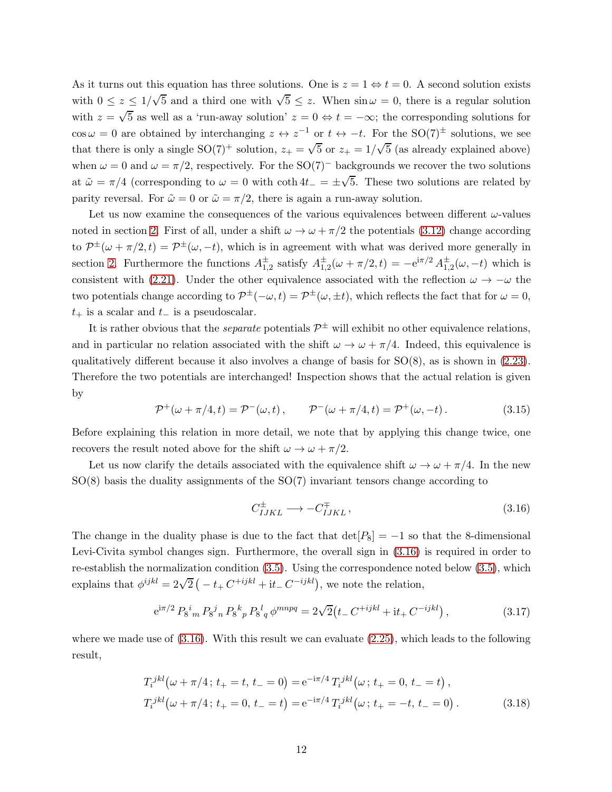As it turns out this equation has three solutions. One is  $z = 1 \Leftrightarrow t = 0$ . A second solution exists with  $0 \le z \le 1/\sqrt{5}$  and a third one with  $\sqrt{5} \le z$ . When  $\sin \omega = 0$ , there is a regular solution with  $z = \sqrt{5}$  as well as a 'run-away solution'  $z = 0 \Leftrightarrow t = -\infty$ ; the corresponding solutions for  $\cos \omega = 0$  are obtained by interchanging  $z \leftrightarrow z^{-1}$  or  $t \leftrightarrow -t$ . For the SO(7)<sup>±</sup> solutions, we see that there is only a single SO(7)<sup>+</sup> solution,  $z_+ = \sqrt{5}$  or  $z_+ = 1/\sqrt{5}$  (as already explained above) when  $\omega = 0$  and  $\omega = \pi/2$ , respectively. For the SO(7)<sup>-</sup> backgrounds we recover the two solutions at  $\tilde{\omega} = \pi/4$  (corresponding to  $\omega = 0$  with coth  $4t_{-} = \pm\sqrt{5}$ . These two solutions are related by parity reversal. For  $\tilde{\omega} = 0$  or  $\tilde{\omega} = \pi/2$ , there is again a run-away solution.

Let us now examine the consequences of the various equivalences between different  $\omega$ -values noted in section [2.](#page-3-0) First of all, under a shift  $\omega \to \omega + \pi/2$  the potentials [\(3.12\)](#page-11-2) change according to  $\mathcal{P}^{\pm}(\omega + \pi/2, t) = \mathcal{P}^{\pm}(\omega, -t)$ , which is in agreement with what was derived more generally in section [2.](#page-3-0) Furthermore the functions  $A_{1,2}^{\pm}$  satisfy  $A_{1,2}^{\pm}(\omega + \pi/2, t) = -e^{i\pi/2} A_{1,2}^{\pm}(\omega, -t)$  which is consistent with [\(2.21\)](#page-8-3). Under the other equivalence associated with the reflection  $\omega \to -\omega$  the two potentials change according to  $\mathcal{P}^{\pm}(-\omega, t) = \mathcal{P}^{\pm}(\omega, \pm t)$ , which reflects the fact that for  $\omega = 0$ ,  $t_{+}$  is a scalar and  $t_{-}$  is a pseudoscalar.

It is rather obvious that the *separate* potentials  $\mathcal{P}^{\pm}$  will exhibit no other equivalence relations, and in particular no relation associated with the shift  $\omega \to \omega + \pi/4$ . Indeed, this equivalence is qualitatively different because it also involves a change of basis for  $SO(8)$ , as is shown in  $(2.23)$ . Therefore the two potentials are interchanged! Inspection shows that the actual relation is given by

<span id="page-12-1"></span>
$$
\mathcal{P}^+(\omega + \pi/4, t) = \mathcal{P}^-(\omega, t), \qquad \mathcal{P}^-(\omega + \pi/4, t) = \mathcal{P}^+(\omega, -t).
$$
 (3.15)

Before explaining this relation in more detail, we note that by applying this change twice, one recovers the result noted above for the shift  $\omega \to \omega + \pi/2$ .

Let us now clarify the details associated with the equivalence shift  $\omega \to \omega + \pi/4$ . In the new SO(8) basis the duality assignments of the SO(7) invariant tensors change according to

<span id="page-12-0"></span>
$$
C_{IJKL}^{\pm} \longrightarrow -C_{IJKL}^{\mp}, \qquad (3.16)
$$

The change in the duality phase is due to the fact that  $\det[P_8] = -1$  so that the 8-dimensional Levi-Civita symbol changes sign. Furthermore, the overall sign in [\(3.16\)](#page-12-0) is required in order to re-establish the normalization condition [\(3.5\)](#page-10-3). Using the correspondence noted below [\(3.5\)](#page-10-3), which explains that  $\phi^{ijkl} = 2\sqrt{2} \left( -t_+ C^{+ijkl} + i t_- C^{-ijkl} \right)$ , we note the relation,

$$
e^{i\pi/2} P_8^i{}_m P_8^j{}_n P_8^k{}_p P_8^l{}_q \phi^{mnpq} = 2\sqrt{2} \left( t_- C^{+ijkl} + i t_+ C^{-ijkl} \right), \tag{3.17}
$$

where we made use of  $(3.16)$ . With this result we can evaluate  $(2.25)$ , which leads to the following result,

$$
T_i^{jkl}(\omega + \pi/4; t_+ = t, t_- = 0) = e^{-i\pi/4} T_i^{jkl}(\omega; t_+ = 0, t_- = t),
$$
  
\n
$$
T_i^{jkl}(\omega + \pi/4; t_+ = 0, t_- = t) = e^{-i\pi/4} T_i^{jkl}(\omega; t_+ = -t, t_- = 0).
$$
\n(3.18)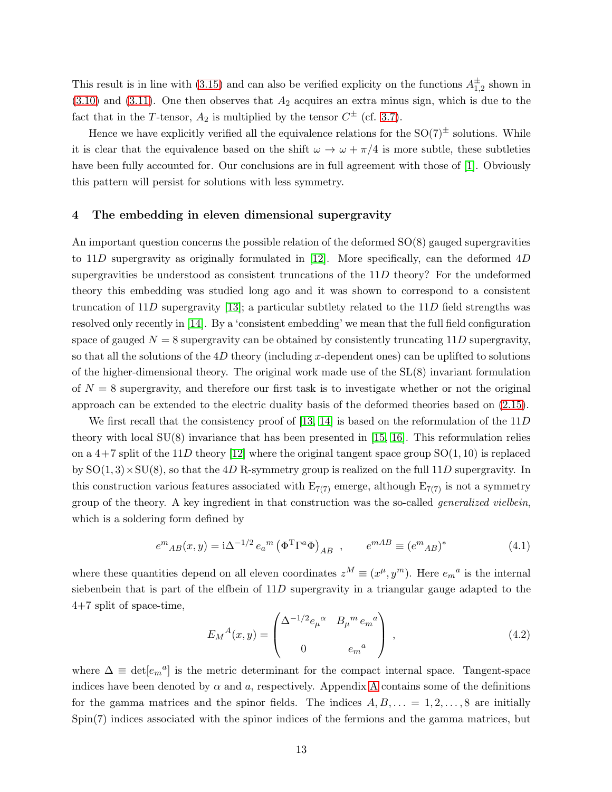This result is in line with [\(3.15\)](#page-12-1) and can also be verified explicity on the functions  $A_{1,2}^{\pm}$  shown in  $(3.10)$  and  $(3.11)$ . One then observes that  $A_2$  acquires an extra minus sign, which is due to the fact that in the T-tensor,  $A_2$  is multiplied by the tensor  $C^{\pm}$  (cf. [3.7\)](#page-10-5).

Hence we have explicitly verified all the equivalence relations for the  $SO(7)^{\pm}$  solutions. While it is clear that the equivalence based on the shift  $\omega \to \omega + \pi/4$  is more subtle, these subtleties have been fully accounted for. Our conclusions are in full agreement with those of [\[1\]](#page-26-0). Obviously this pattern will persist for solutions with less symmetry.

# <span id="page-13-1"></span>4 The embedding in eleven dimensional supergravity

An important question concerns the possible relation of the deformed SO(8) gauged supergravities to 11D supergravity as originally formulated in [\[12\]](#page-27-4). More specifically, can the deformed  $4D$ supergravities be understood as consistent truncations of the 11D theory? For the undeformed theory this embedding was studied long ago and it was shown to correspond to a consistent truncation of 11D supergravity [\[13\]](#page-27-5); a particular subtlety related to the  $11D$  field strengths was resolved only recently in [\[14\]](#page-27-6). By a 'consistent embedding' we mean that the full field configuration space of gauged  $N = 8$  supergravity can be obtained by consistently truncating 11D supergravity, so that all the solutions of the  $4D$  theory (including x-dependent ones) can be uplifted to solutions of the higher-dimensional theory. The original work made use of the SL(8) invariant formulation of  $N = 8$  supergravity, and therefore our first task is to investigate whether or not the original approach can be extended to the electric duality basis of the deformed theories based on [\(2.15\)](#page-6-2).

We first recall that the consistency proof of [\[13,](#page-27-5) [14\]](#page-27-6) is based on the reformulation of the  $11D$ theory with local  $SU(8)$  invariance that has been presented in [\[15,](#page-27-7) [16\]](#page-27-8). This reformulation relies on a  $4+7$  split of the 11D theory [\[12\]](#page-27-4) where the original tangent space group  $SO(1, 10)$  is replaced by  $SO(1,3) \times SU(8)$ , so that the 4D R-symmetry group is realized on the full 11D supergravity. In this construction various features associated with  $E_{7(7)}$  emerge, although  $E_{7(7)}$  is not a symmetry group of the theory. A key ingredient in that construction was the so-called generalized vielbein, which is a soldering form defined by

<span id="page-13-2"></span>
$$
e^{m}{}_{AB}(x,y) = i\Delta^{-1/2} e_a{}^{m} (\Phi^{\mathrm{T}} \Gamma^a \Phi)_{AB} , \qquad e^{mAB} \equiv (e^{m}{}_{AB})^* \tag{4.1}
$$

where these quantities depend on all eleven coordinates  $z^M \equiv (x^{\mu}, y^{\mu})$ . Here  $e_m{}^a$  is the internal siebenbein that is part of the elfbein of 11D supergravity in a triangular gauge adapted to the 4+7 split of space-time,

<span id="page-13-0"></span>
$$
E_M{}^A(x,y) = \begin{pmatrix} \Delta^{-1/2} e_\mu{}^\alpha & B_\mu{}^m e_m{}^a \\ 0 & e_m{}^a \end{pmatrix} \,, \tag{4.2}
$$

where  $\Delta \equiv \det[e_m{}^a]$  is the metric determinant for the compact internal space. Tangent-space indices have been denoted by  $\alpha$  and  $\alpha$ , respectively. [A](#page-24-0)ppendix A contains some of the definitions for the gamma matrices and the spinor fields. The indices  $A, B, \ldots = 1, 2, \ldots, 8$  are initially Spin(7) indices associated with the spinor indices of the fermions and the gamma matrices, but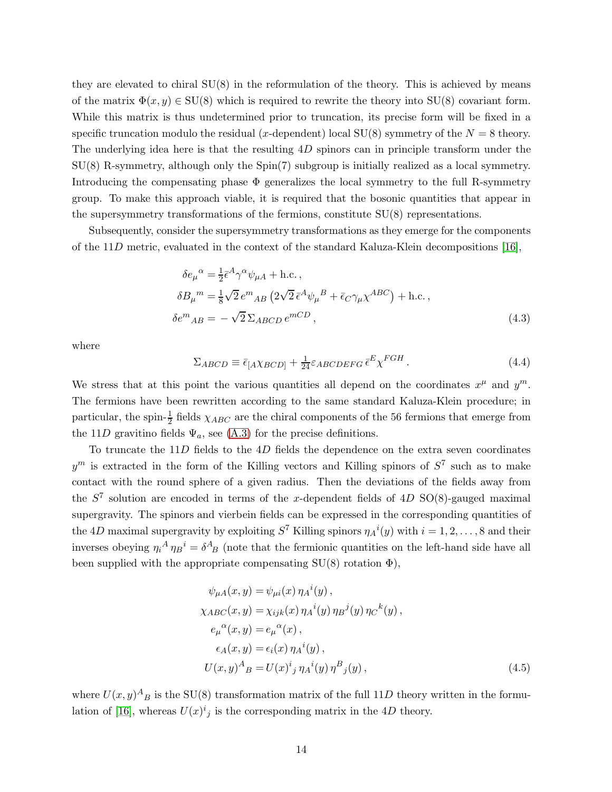they are elevated to chiral SU(8) in the reformulation of the theory. This is achieved by means of the matrix  $\Phi(x, y) \in SU(8)$  which is required to rewrite the theory into  $SU(8)$  covariant form. While this matrix is thus undetermined prior to truncation, its precise form will be fixed in a specific truncation modulo the residual (x-dependent) local  $SU(8)$  symmetry of the  $N = 8$  theory. The underlying idea here is that the resulting 4D spinors can in principle transform under the SU(8) R-symmetry, although only the Spin(7) subgroup is initially realized as a local symmetry. Introducing the compensating phase  $\Phi$  generalizes the local symmetry to the full R-symmetry group. To make this approach viable, it is required that the bosonic quantities that appear in the supersymmetry transformations of the fermions, constitute SU(8) representations.

Subsequently, consider the supersymmetry transformations as they emerge for the components of the 11D metric, evaluated in the context of the standard Kaluza-Klein decompositions [\[16\]](#page-27-8),

$$
\delta e_{\mu}{}^{\alpha} = \frac{1}{2} \bar{\epsilon}^{A} \gamma^{\alpha} \psi_{\mu A} + \text{h.c.} ,
$$
  
\n
$$
\delta B_{\mu}{}^{m} = \frac{1}{8} \sqrt{2} e^{m}{}_{AB} \left( 2\sqrt{2} \bar{\epsilon}^{A} \psi_{\mu}{}^{B} + \bar{\epsilon}_{C} \gamma_{\mu} \chi^{ABC} \right) + \text{h.c.} ,
$$
  
\n
$$
\delta e^{m}{}_{AB} = -\sqrt{2} \Sigma_{ABCD} e^{mCD} ,
$$
\n(4.3)

where

<span id="page-14-0"></span>
$$
\Sigma_{ABCD} \equiv \bar{\epsilon}_{[A} \chi_{BCD]} + \frac{1}{24} \varepsilon_{ABCDEFG} \bar{\epsilon}^E \chi^{FGH} . \tag{4.4}
$$

We stress that at this point the various quantities all depend on the coordinates  $x^{\mu}$  and  $y^{\mu}$ . The fermions have been rewritten according to the same standard Kaluza-Klein procedure; in particular, the spin- $\frac{1}{2}$  fields  $\chi_{ABC}$  are the chiral components of the 56 fermions that emerge from the 11D gravitino fields  $\Psi_a$ , see [\(A.3\)](#page-25-0) for the precise definitions.

To truncate the 11D fields to the 4D fields the dependence on the extra seven coordinates  $y^m$  is extracted in the form of the Killing vectors and Killing spinors of  $S^7$  such as to make contact with the round sphere of a given radius. Then the deviations of the fields away from the  $S^7$  solution are encoded in terms of the x-dependent fields of 4D SO(8)-gauged maximal supergravity. The spinors and vierbein fields can be expressed in the corresponding quantities of the 4D maximal supergravity by exploiting  $S^7$  Killing spinors  $\eta_A(i(y))$  with  $i = 1, 2, ..., 8$  and their inverses obeying  $\eta_i^A \eta_B^i = \delta^A_{\ B}$  (note that the fermionic quantities on the left-hand side have all been supplied with the appropriate compensating  $SU(8)$  rotation  $\Phi$ ),

<span id="page-14-1"></span>
$$
\psi_{\mu A}(x, y) = \psi_{\mu i}(x) \eta_{A}{}^{i}(y),
$$
  
\n
$$
\chi_{ABC}(x, y) = \chi_{ijk}(x) \eta_{A}{}^{i}(y) \eta_{B}{}^{j}(y) \eta_{C}{}^{k}(y),
$$
  
\n
$$
e_{\mu}{}^{\alpha}(x, y) = e_{\mu}{}^{\alpha}(x),
$$
  
\n
$$
\epsilon_{A}(x, y) = \epsilon_{i}(x) \eta_{A}{}^{i}(y),
$$
  
\n
$$
U(x, y)^{A}{}_{B} = U(x)^{i}{}_{j} \eta_{A}{}^{i}(y) \eta_{B}{}^{B}{}_{j}(y),
$$
\n(4.5)

where  $U(x, y)^A$ <sub>B</sub> is the SU(8) transformation matrix of the full 11D theory written in the formu-lation of [\[16\]](#page-27-8), whereas  $U(x)^{i}{}_{j}$  is the corresponding matrix in the 4D theory.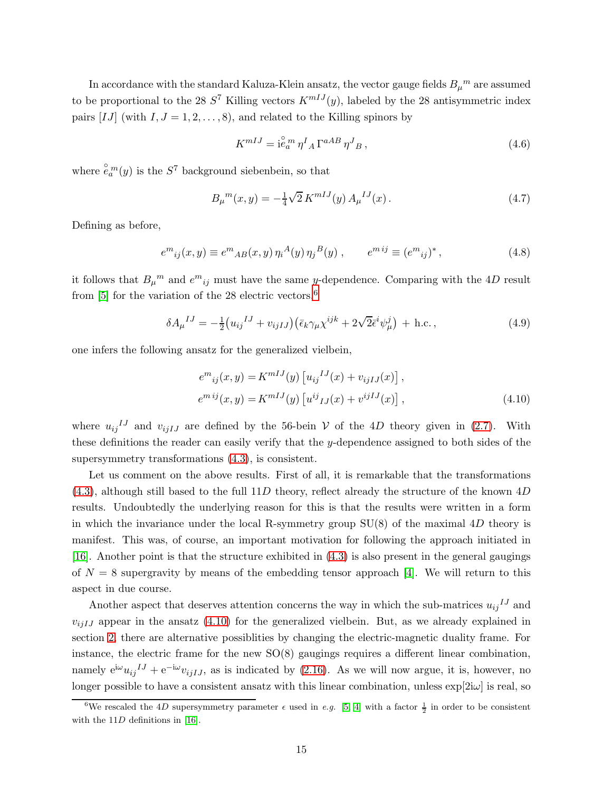In accordance with the standard Kaluza-Klein ansatz, the vector gauge fields  $B_\mu{}^m$  are assumed to be proportional to the 28  $S^7$  Killing vectors  $K^{mIJ}(y)$ , labeled by the 28 antisymmetric index pairs [IJ] (with  $I, J = 1, 2, \ldots, 8$ ), and related to the Killing spinors by

$$
K^{mIJ} = \mathbf{i}\overset{\circ}{e}_a^m \eta^I{}_A \Gamma^{aAB} \eta^J{}_B , \qquad (4.6)
$$

where  $\overset{\circ}{e}_a^m(y)$  is the  $S^7$  background siebenbein, so that

<span id="page-15-2"></span>
$$
B_{\mu}{}^{m}(x,y) = -\frac{1}{4}\sqrt{2} K^{mIJ}(y) A_{\mu}{}^{IJ}(x).
$$
 (4.7)

Defining as before,

$$
e^{m}_{ij}(x,y) \equiv e^{m}_{AB}(x,y)\,\eta_i{}^A(y)\,\eta_j{}^B(y) , \qquad e^{m\,ij} \equiv (e^{m}_{ij})^*, \tag{4.8}
$$

it follows that  $B_{\mu}{}^{m}$  and  $e^{m}{}_{ij}$  must have the same y-dependence. Comparing with the 4D result from [\[5\]](#page-26-4) for the variation of the 28 electric vectors,<sup>[6](#page-15-0)</sup>

<span id="page-15-3"></span>
$$
\delta A_{\mu}{}^{IJ} = -\frac{1}{2} \left( u_{ij}{}^{IJ} + v_{ijIJ} \right) \left( \bar{\epsilon}_k \gamma_{\mu} \chi^{ijk} + 2\sqrt{2} \bar{\epsilon}^i \psi^j_{\mu} \right) + \text{h.c.} \,, \tag{4.9}
$$

one infers the following ansatz for the generalized vielbein,

<span id="page-15-1"></span>
$$
e^{m}_{ij}(x,y) = K^{mIJ}(y) \left[ u_{ij}^{IJ}(x) + v_{ijIJ}(x) \right],
$$
  
\n
$$
e^{mij}(x,y) = K^{mIJ}(y) \left[ u^{ij}_{IJ}(x) + v^{ijIJ}(x) \right],
$$
\n(4.10)

where  $u_{ij}^{IJ}$  and  $v_{ijIJ}$  are defined by the 56-bein V of the 4D theory given in [\(2.7\)](#page-5-2). With these definitions the reader can easily verify that the y-dependence assigned to both sides of the supersymmetry transformations [\(4.3\)](#page-14-0), is consistent.

Let us comment on the above results. First of all, it is remarkable that the transformations  $(4.3)$ , although still based to the full 11D theory, reflect already the structure of the known  $4D$ results. Undoubtedly the underlying reason for this is that the results were written in a form in which the invariance under the local R-symmetry group  $SU(8)$  of the maximal 4D theory is manifest. This was, of course, an important motivation for following the approach initiated in [\[16\]](#page-27-8). Another point is that the structure exhibited in [\(4.3\)](#page-14-0) is also present in the general gaugings of  $N = 8$  supergravity by means of the embedding tensor approach [\[4\]](#page-26-3). We will return to this aspect in due course.

Another aspect that deserves attention concerns the way in which the sub-matrices  $u_{ij}^{IJ}$  and  $v_{i,jIJ}$  appear in the ansatz [\(4.10\)](#page-15-1) for the generalized vielbein. But, as we already explained in section [2,](#page-3-0) there are alternative possiblities by changing the electric-magnetic duality frame. For instance, the electric frame for the new SO(8) gaugings requires a different linear combination, namely  $e^{i\omega}u_{ij}{}^{IJ} + e^{-i\omega}v_{ijIJ}$ , as is indicated by [\(2.16\)](#page-7-0). As we will now argue, it is, however, no longer possible to have a consistent ansatz with this linear combination, unless  $\exp[2i\omega]$  is real, so

<span id="page-15-0"></span><sup>&</sup>lt;sup>6</sup>We rescaled the 4D supersymmetry parameter  $\epsilon$  used in e.g. [\[5,](#page-26-4) [4\]](#page-26-3) with a factor  $\frac{1}{2}$  in order to be consistent with the  $11D$  definitions in [\[16\]](#page-27-8).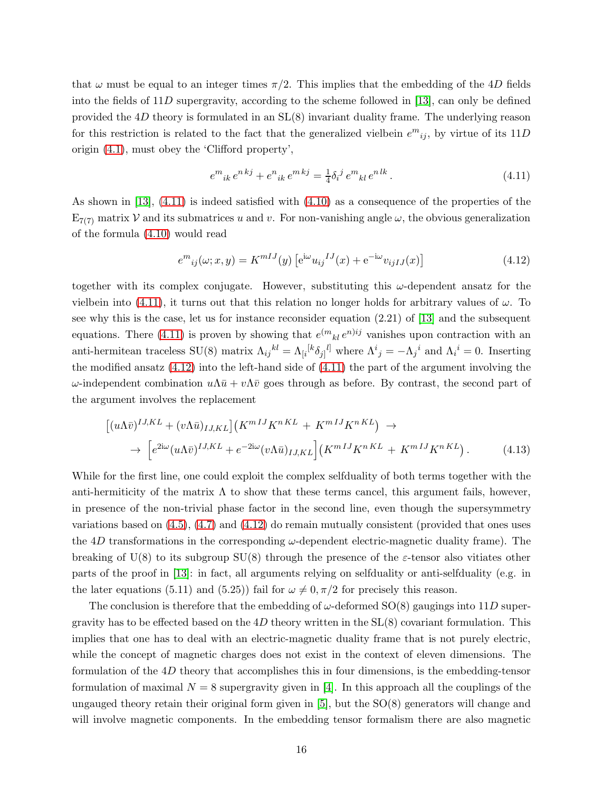that  $\omega$  must be equal to an integer times  $\pi/2$ . This implies that the embedding of the 4D fields into the fields of 11D supergravity, according to the scheme followed in [\[13\]](#page-27-5), can only be defined provided the  $4D$  theory is formulated in an  $SL(8)$  invariant duality frame. The underlying reason for this restriction is related to the fact that the generalized vielbein  $e^{m}{}_{ij}$ , by virtue of its  $11D$ origin [\(4.1\)](#page-13-2), must obey the 'Clifford property',

<span id="page-16-0"></span>
$$
e^{m}{}_{ik}e^{nkj} + e^{n}{}_{ik}e^{mkj} = \frac{1}{4}\delta_i{}^j e^{m}{}_{kl}e^{nlk}.
$$
\n(4.11)

As shown in [\[13\]](#page-27-5), [\(4.11\)](#page-16-0) is indeed satisfied with [\(4.10\)](#page-15-1) as a consequence of the properties of the  $E_{7(7)}$  matrix V and its submatrices u and v. For non-vanishing angle  $\omega$ , the obvious generalization of the formula [\(4.10\)](#page-15-1) would read

<span id="page-16-1"></span>
$$
e^{m}_{ij}(\omega; x, y) = K^{mIJ}(y) \left[ e^{i\omega} u_{ij}{}^{IJ}(x) + e^{-i\omega} v_{ijIJ}(x) \right]
$$
(4.12)

together with its complex conjugate. However, substituting this  $\omega$ -dependent ansatz for the vielbein into [\(4.11\)](#page-16-0), it turns out that this relation no longer holds for arbitrary values of  $\omega$ . To see why this is the case, let us for instance reconsider equation (2.21) of [\[13\]](#page-27-5) and the subsequent equations. There [\(4.11\)](#page-16-0) is proven by showing that  $e^{(m}{}_{kl} e^{n)ij}$  vanishes upon contraction with an anti-hermitean traceless SU(8) matrix  $\Lambda_{ij}{}^{kl} = \Lambda_{[i}{}^{[k} \delta_{j]}{}^{l]}$  where  $\Lambda^i{}_j = -\Lambda_j{}^i$  and  $\Lambda_i{}^i = 0$ . Inserting the modified ansatz [\(4.12\)](#page-16-1) into the left-hand side of [\(4.11\)](#page-16-0) the part of the argument involving the ω-independent combination  $uΛ\bar{u} + vΛ\bar{v}$  goes through as before. By contrast, the second part of the argument involves the replacement

$$
\left[ (u\Lambda\bar{v})^{IJ,KL} + (v\Lambda\bar{u})_{IJ,KL} \right] \left( K^{mIJ} K^{nKL} + K^{mIJ} K^{nKL} \right) \rightarrow
$$
  
\n
$$
\rightarrow \left[ e^{2i\omega} (u\Lambda\bar{v})^{IJ,KL} + e^{-2i\omega} (v\Lambda\bar{u})_{IJ,KL} \right] \left( K^{mIJ} K^{nKL} + K^{mIJ} K^{nKL} \right). \tag{4.13}
$$

While for the first line, one could exploit the complex selfduality of both terms together with the anti-hermiticity of the matrix  $\Lambda$  to show that these terms cancel, this argument fails, however, in presence of the non-trivial phase factor in the second line, even though the supersymmetry variations based on [\(4.5\)](#page-14-1), [\(4.7\)](#page-15-2) and [\(4.12\)](#page-16-1) do remain mutually consistent (provided that ones uses the  $4D$  transformations in the corresponding  $\omega$ -dependent electric-magnetic duality frame). The breaking of  $U(8)$  to its subgroup  $SU(8)$  through the presence of the *ε*-tensor also vitiates other parts of the proof in [\[13\]](#page-27-5): in fact, all arguments relying on selfduality or anti-selfduality (e.g. in the later equations (5.11) and (5.25)) fail for  $\omega \neq 0, \pi/2$  for precisely this reason.

The conclusion is therefore that the embedding of  $\omega$ -deformed SO(8) gaugings into 11D supergravity has to be effected based on the  $4D$  theory written in the  $SL(8)$  covariant formulation. This implies that one has to deal with an electric-magnetic duality frame that is not purely electric, while the concept of magnetic charges does not exist in the context of eleven dimensions. The formulation of the 4D theory that accomplishes this in four dimensions, is the embedding-tensor formulation of maximal  $N = 8$  supergravity given in [\[4\]](#page-26-3). In this approach all the couplings of the ungauged theory retain their original form given in  $[5]$ , but the  $SO(8)$  generators will change and will involve magnetic components. In the embedding tensor formalism there are also magnetic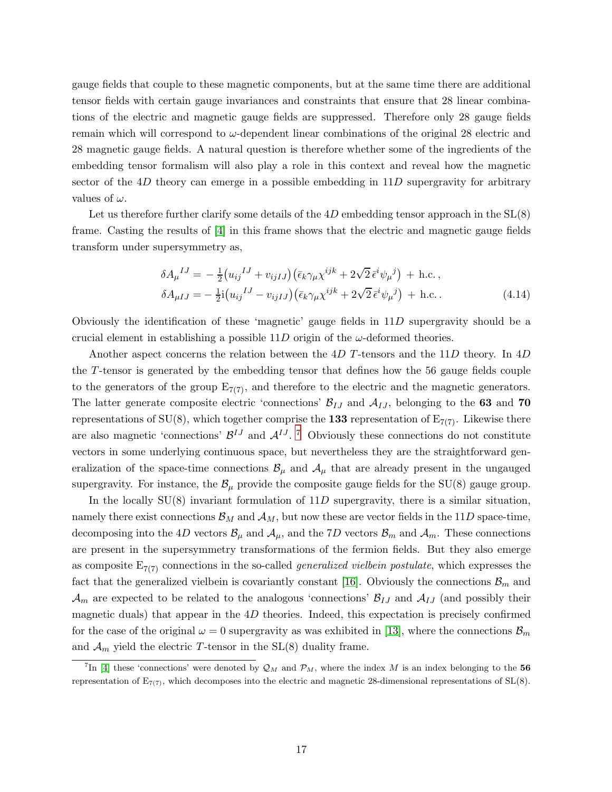gauge fields that couple to these magnetic components, but at the same time there are additional tensor fields with certain gauge invariances and constraints that ensure that 28 linear combinations of the electric and magnetic gauge fields are suppressed. Therefore only 28 gauge fields remain which will correspond to  $\omega$ -dependent linear combinations of the original 28 electric and 28 magnetic gauge fields. A natural question is therefore whether some of the ingredients of the embedding tensor formalism will also play a role in this context and reveal how the magnetic sector of the  $4D$  theory can emerge in a possible embedding in  $11D$  supergravity for arbitrary values of  $\omega$ .

Let us therefore further clarify some details of the  $4D$  embedding tensor approach in the  $SL(8)$ frame. Casting the results of [\[4\]](#page-26-3) in this frame shows that the electric and magnetic gauge fields transform under supersymmetry as,

<span id="page-17-1"></span>
$$
\delta A_{\mu}^{IJ} = -\frac{1}{2} (u_{ij}^{IJ} + v_{ijIJ}) (\bar{\epsilon}_k \gamma_{\mu} \chi^{ijk} + 2\sqrt{2} \bar{\epsilon}^i \psi_{\mu}^j) + \text{h.c.} ,
$$
  
\n
$$
\delta A_{\mu IJ} = -\frac{1}{2} \text{i} (u_{ij}^{IJ} - v_{ijIJ}) (\bar{\epsilon}_k \gamma_{\mu} \chi^{ijk} + 2\sqrt{2} \bar{\epsilon}^i \psi_{\mu}^j) + \text{h.c.} .
$$
\n(4.14)

Obviously the identification of these 'magnetic' gauge fields in 11D supergravity should be a crucial element in establishing a possible  $11D$  origin of the  $\omega$ -deformed theories.

Another aspect concerns the relation between the  $4D$  T-tensors and the  $11D$  theory. In  $4D$ the T-tensor is generated by the embedding tensor that defines how the 56 gauge fields couple to the generators of the group  $E_{7(7)}$ , and therefore to the electric and the magnetic generators. The latter generate composite electric 'connections'  $\mathcal{B}_{IJ}$  and  $\mathcal{A}_{IJ}$ , belonging to the 63 and 70 representations of SU(8), which together comprise the 133 representation of  $E_{7(7)}$ . Likewise there are also magnetic 'connections'  $\mathcal{B}^{IJ}$  and  $\mathcal{A}^{IJ}$ . <sup>[7](#page-17-0)</sup> Obviously these connections do not constitute vectors in some underlying continuous space, but nevertheless they are the straightforward generalization of the space-time connections  $\mathcal{B}_{\mu}$  and  $\mathcal{A}_{\mu}$  that are already present in the ungauged supergravity. For instance, the  $\mathcal{B}_{\mu}$  provide the composite gauge fields for the SU(8) gauge group.

In the locally  $SU(8)$  invariant formulation of  $11D$  supergravity, there is a similar situation, namely there exist connections  $\mathcal{B}_M$  and  $\mathcal{A}_M$ , but now these are vector fields in the 11D space-time, decomposing into the 4D vectors  $\mathcal{B}_{\mu}$  and  $\mathcal{A}_{\mu}$ , and the 7D vectors  $\mathcal{B}_{m}$  and  $\mathcal{A}_{m}$ . These connections are present in the supersymmetry transformations of the fermion fields. But they also emerge as composite  $E_{7(7)}$  connections in the so-called *generalized vielbein postulate*, which expresses the fact that the generalized vielbein is covariantly constant [\[16\]](#page-27-8). Obviously the connections  $\mathcal{B}_m$  and  $\mathcal{A}_m$  are expected to be related to the analogous 'connections'  $\mathcal{B}_{IJ}$  and  $\mathcal{A}_{IJ}$  (and possibly their magnetic duals) that appear in the  $4D$  theories. Indeed, this expectation is precisely confirmed for the case of the original  $\omega = 0$  supergravity as was exhibited in [\[13\]](#page-27-5), where the connections  $\mathcal{B}_m$ and  $\mathcal{A}_m$  yield the electric T-tensor in the SL(8) duality frame.

<span id="page-17-0"></span><sup>&</sup>lt;sup>7</sup>In [\[4\]](#page-26-3) these 'connections' were denoted by  $\mathcal{Q}_M$  and  $\mathcal{P}_M$ , where the index M is an index belonging to the 56 representation of  $E_{7(7)}$ , which decomposes into the electric and magnetic 28-dimensional representations of  $SL(8)$ .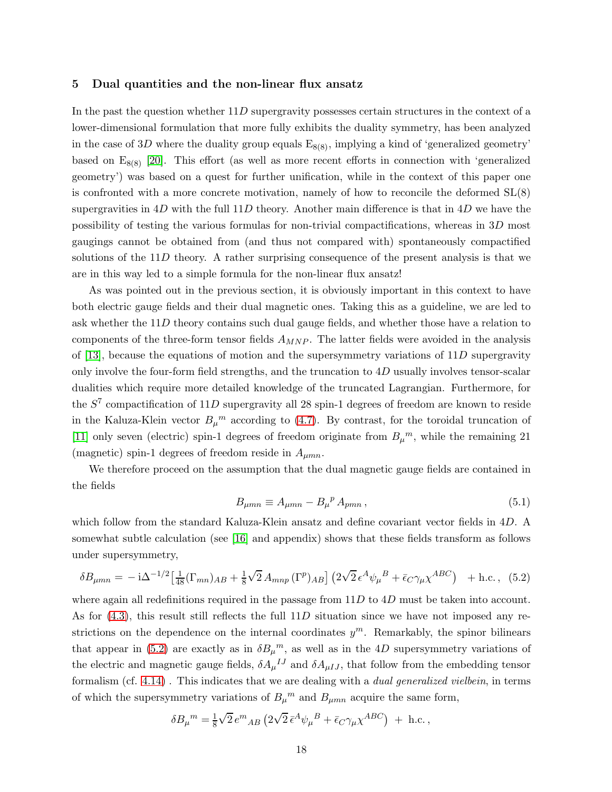#### <span id="page-18-0"></span>5 Dual quantities and the non-linear flux ansatz

In the past the question whether 11D supergravity possesses certain structures in the context of a lower-dimensional formulation that more fully exhibits the duality symmetry, has been analyzed in the case of 3D where the duality group equals  $E_{8(8)}$ , implying a kind of 'generalized geometry' based on  $E_{8(8)}$  [\[20\]](#page-27-13). This effort (as well as more recent efforts in connection with 'generalized geometry') was based on a quest for further unification, while in the context of this paper one is confronted with a more concrete motivation, namely of how to reconcile the deformed  $SL(8)$ supergravities in  $4D$  with the full  $11D$  theory. Another main difference is that in  $4D$  we have the possibility of testing the various formulas for non-trivial compactifications, whereas in 3D most gaugings cannot be obtained from (and thus not compared with) spontaneously compactified solutions of the 11D theory. A rather surprising consequence of the present analysis is that we are in this way led to a simple formula for the non-linear flux ansatz!

As was pointed out in the previous section, it is obviously important in this context to have both electric gauge fields and their dual magnetic ones. Taking this as a guideline, we are led to ask whether the 11D theory contains such dual gauge fields, and whether those have a relation to components of the three-form tensor fields  $A_{MNP}$ . The latter fields were avoided in the analysis of [\[13\]](#page-27-5), because the equations of motion and the supersymmetry variations of  $11D$  supergravity only involve the four-form field strengths, and the truncation to  $4D$  usually involves tensor-scalar dualities which require more detailed knowledge of the truncated Lagrangian. Furthermore, for the  $S<sup>7</sup>$  compactification of 11D supergravity all 28 spin-1 degrees of freedom are known to reside in the Kaluza-Klein vector  $B_\mu{}^m$  according to [\(4.7\)](#page-15-2). By contrast, for the toroidal truncation of [\[11\]](#page-27-3) only seven (electric) spin-1 degrees of freedom originate from  $B_\mu{}^m$ , while the remaining 21 (magnetic) spin-1 degrees of freedom reside in  $A_{\mu mn}$ .

We therefore proceed on the assumption that the dual magnetic gauge fields are contained in the fields

<span id="page-18-2"></span><span id="page-18-1"></span>
$$
B_{\mu mn} \equiv A_{\mu mn} - B_{\mu}^{\ \ p} A_{pmn} \,, \tag{5.1}
$$

which follow from the standard Kaluza-Klein ansatz and define covariant vector fields in 4D. A somewhat subtle calculation (see [\[16\]](#page-27-8) and appendix) shows that these fields transform as follows under supersymmetry,

$$
\delta B_{\mu mn} = -\mathrm{i}\Delta^{-1/2} \left[\frac{1}{48}(\Gamma_{mn})_{AB} + \frac{1}{8}\sqrt{2}A_{mnp}(\Gamma^p)_{AB}\right] \left(2\sqrt{2}\,\epsilon^A\psi_\mu{}^B + \bar{\epsilon}_C\gamma_\mu\chi^{ABC}\right) \quad + \text{h.c.} \,, \tag{5.2}
$$

where again all redefinitions required in the passage from  $11D$  to  $4D$  must be taken into account. As for  $(4.3)$ , this result still reflects the full  $11D$  situation since we have not imposed any restrictions on the dependence on the internal coordinates  $y^m$ . Remarkably, the spinor bilinears that appear in [\(5.2\)](#page-18-1) are exactly as in  $\delta B_{\mu}{}^{m}$ , as well as in the 4D supersymmetry variations of the electric and magnetic gauge fields,  $\delta A_\mu{}^{IJ}$  and  $\delta A_{\mu IJ}$ , that follow from the embedding tensor formalism (cf. [4.14\)](#page-17-1) . This indicates that we are dealing with a dual generalized vielbein, in terms of which the supersymmetry variations of  $B_{\mu}^{m}$  and  $B_{\mu mn}$  acquire the same form,

$$
\delta B_\mu{}^m = \tfrac{1}{8}\sqrt{2}\,e^m{}_{AB}\left(2\sqrt{2}\,\bar\epsilon^A\psi_\mu{}^B + \bar\epsilon_C\gamma_\mu\chi^{ABC}\right) \;+\;\text{h.c.}\,,
$$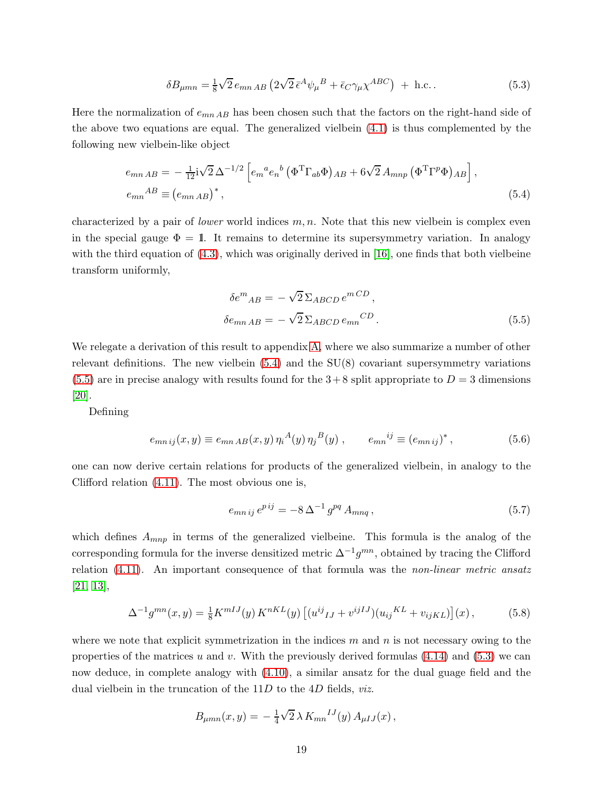<span id="page-19-2"></span>
$$
\delta B_{\mu mn} = \frac{1}{8} \sqrt{2} e_{mn AB} \left( 2\sqrt{2} \,\bar{\epsilon}^A \psi_\mu{}^B + \bar{\epsilon}_C \gamma_\mu \chi^{ABC} \right) + \text{ h.c.} \,. \tag{5.3}
$$

Here the normalization of  $e_{mn AB}$  has been chosen such that the factors on the right-hand side of the above two equations are equal. The generalized vielbein [\(4.1\)](#page-13-2) is thus complemented by the following new vielbein-like object

$$
e_{mn AB} = -\frac{1}{12} i \sqrt{2} \Delta^{-1/2} \left[ e_m{}^a e_n{}^b \left( \Phi^T \Gamma_{ab} \Phi \right)_{AB} + 6 \sqrt{2} A_{mnp} \left( \Phi^T \Gamma^p \Phi \right)_{AB} \right],
$$
  
\n
$$
e_{mn}{}^{AB} \equiv \left( e_{mn AB} \right)^*,
$$
\n(5.4)

characterized by a pair of *lower* world indices  $m, n$ . Note that this new vielbein is complex even in the special gauge  $\Phi = 1$ . It remains to determine its supersymmetry variation. In analogy with the third equation of [\(4.3\)](#page-14-0), which was originally derived in [\[16\]](#page-27-8), one finds that both vielbeine transform uniformly,

<span id="page-19-1"></span><span id="page-19-0"></span>
$$
\delta e^{m}{}_{AB} = -\sqrt{2} \sum_{ABCD} e^{mCD},
$$
  

$$
\delta e_{mn}{}_{AB} = -\sqrt{2} \sum_{ABCD} e_{mn}{}^{CD}.
$$
 (5.5)

We relegate a derivation of this result to appendix [A,](#page-24-0) where we also summarize a number of other relevant definitions. The new vielbein  $(5.4)$  and the  $SU(8)$  covariant supersymmetry variations  $(5.5)$  are in precise analogy with results found for the  $3+8$  split appropriate to  $D=3$  dimensions [\[20\]](#page-27-13).

Defining

$$
e_{mn\,ij}(x,y) \equiv e_{mn\,AB}(x,y)\,\eta_i{}^A(y)\,\eta_j{}^B(y)\,,\qquad e_{mn}{}^{ij} \equiv (e_{mn\,ij})^*,\tag{5.6}
$$

one can now derive certain relations for products of the generalized vielbein, in analogy to the Clifford relation [\(4.11\)](#page-16-0). The most obvious one is,

<span id="page-19-3"></span>
$$
e_{mn\,ij}\,e^{p\,ij} = -8\,\Delta^{-1}\,g^{pq}\,A_{mnq}\,,\tag{5.7}
$$

which defines  $A_{mnp}$  in terms of the generalized vielbeine. This formula is the analog of the corresponding formula for the inverse densitized metric  $\Delta^{-1} g^{mn}$ , obtained by tracing the Clifford relation [\(4.11\)](#page-16-0). An important consequence of that formula was the non-linear metric ansatz  $[21, 13]$  $[21, 13]$ ,

<span id="page-19-4"></span>
$$
\Delta^{-1} g^{mn}(x, y) = \frac{1}{8} K^{mIJ}(y) K^{nKL}(y) \left[ (u^{ij}{}_{IJ} + v^{ijIJ}) (u_{ij}{}^{KL} + v_{ijKL}) \right](x) , \tag{5.8}
$$

where we note that explicit symmetrization in the indices  $m$  and  $n$  is not necessary owing to the properties of the matrices u and v. With the previously derived formulas  $(4.14)$  and  $(5.3)$  we can now deduce, in complete analogy with [\(4.10\)](#page-15-1), a similar ansatz for the dual guage field and the dual vielbein in the truncation of the  $11D$  to the  $4D$  fields, *viz.* 

$$
B_{\mu mn}(x, y) = -\frac{1}{4}\sqrt{2}\,\lambda \, K_{mn}{}^{IJ}(y) \, A_{\mu IJ}(x) \,,
$$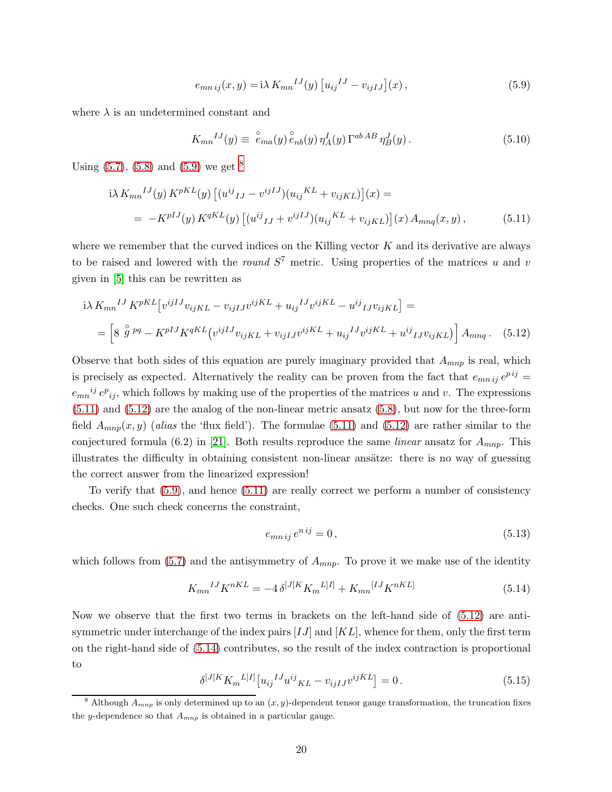<span id="page-20-1"></span>
$$
e_{mn\,ij}(x,y) = i\lambda \, K_{mn}{}^{IJ}(y) \left[ u_{ij}{}^{IJ} - v_{ijIJ} \right](x) \,, \tag{5.9}
$$

where  $\lambda$  is an undetermined constant and

<span id="page-20-3"></span>
$$
K_{mn}{}^{IJ}(y) \equiv \stackrel{\circ}{e}_{ma}(y) \stackrel{\circ}{e}_{nb}(y) \eta_A^I(y) \Gamma^{ab \, AB} \eta_B^J(y). \tag{5.10}
$$

Using  $(5.7)$ ,  $(5.8)$  $(5.8)$  $(5.8)$  and  $(5.9)$  we get  $8$ 

$$
i\lambda K_{mn}^{IJ}(y) K^{pKL}(y) \left[ (u^{ij}{}_{IJ} - v^{ijIJ}) (u_{ij}^{KL} + v_{ijKL}) \right](x) =
$$
  
= 
$$
-K^{pIJ}(y) K^{qKL}(y) \left[ (u^{ij}{}_{IJ} + v^{ijIJ}) (u_{ij}^{KL} + v_{ijKL}) \right](x) A_{mnq}(x, y),
$$
 (5.11)

where we remember that the curved indices on the Killing vector  $K$  and its derivative are always to be raised and lowered with the *round*  $S<sup>7</sup>$  metric. Using properties of the matrices u and v given in [\[5\]](#page-26-4) this can be rewritten as

$$
i\lambda K_{mn}^{IJ} K^{pKL} [v^{ijIJ} v_{ijKL} - v_{ijIJ} v^{ijKL} + u_{ij}^{IJ} v^{ijKL} - u^{ij}{}_{IJ} v_{ijKL}] =
$$
  
= 
$$
\left[ 8 \stackrel{\circ}{g}^{pq} - K^{pIJ} K^{qKL} (v^{ijIJ} v_{ijKL} + v_{ijIJ} v^{ijKL} + u_{ij}^{IJ} v^{ijKL} + u^{ij}{}_{IJ} v_{ijKL}) \right] A_{mnq}.
$$
 (5.12)

Observe that both sides of this equation are purely imaginary provided that  $A_{mnp}$  is real, which is precisely as expected. Alternatively the reality can be proven from the fact that  $e_{mnij}e^{pij} =$  $e_{mn}{}^{ij}e_{ij}$ , which follows by making use of the properties of the matrices u and v. The expressions [\(5.11\)](#page-20-3) and [\(5.12\)](#page-20-0) are the analog of the non-linear metric ansatz [\(5.8\)](#page-19-4), but now for the three-form field  $A_{mnp}(x, y)$  (alias the 'flux field'). The formulae [\(5.11\)](#page-20-3) and [\(5.12\)](#page-20-0) are rather similar to the conjectured formula (6.2) in [\[21\]](#page-27-12). Both results reproduce the same *linear* ansatz for  $A_{mnp}$ . This illustrates the difficulty in obtaining consistent non-linear ansätze: there is no way of guessing the correct answer from the linearized expression!

To verify that [\(5.9\)](#page-20-1), and hence [\(5.11\)](#page-20-3) are really correct we perform a number of consistency checks. One such check concerns the constraint,

<span id="page-20-0"></span>
$$
e_{mn\,ij}\,e^{n\,ij} = 0\,,\tag{5.13}
$$

which follows from [\(5.7\)](#page-19-3) and the antisymmetry of  $A_{mnp}$ . To prove it we make use of the identity

<span id="page-20-4"></span>
$$
K_{mn}{}^{IJ}K^{nKL} = -4\,\delta^{[J[K]}K_m{}^{L]I]} + K_{mn}{}^{[IJ}K^{nKL]}
$$
\n(5.14)

Now we observe that the first two terms in brackets on the left-hand side of [\(5.12\)](#page-20-0) are antisymmetric under interchange of the index pairs  $[IJ]$  and  $[KL]$ , whence for them, only the first term on the right-hand side of [\(5.14\)](#page-20-4) contributes, so the result of the index contraction is proportional to

$$
\delta^{[J[K]}K_m{}^{L]I]}[u_{ij}{}^{IJ}u^{ij}{}_{KL} - v_{ijIJ}v^{ijKL}] = 0.
$$
\n(5.15)

<span id="page-20-2"></span><sup>&</sup>lt;sup>8</sup> Although  $A_{mnp}$  is only determined up to an  $(x, y)$ -dependent tensor gauge transformation, the truncation fixes the y-dependence so that  $A_{mnp}$  is obtained in a particular gauge.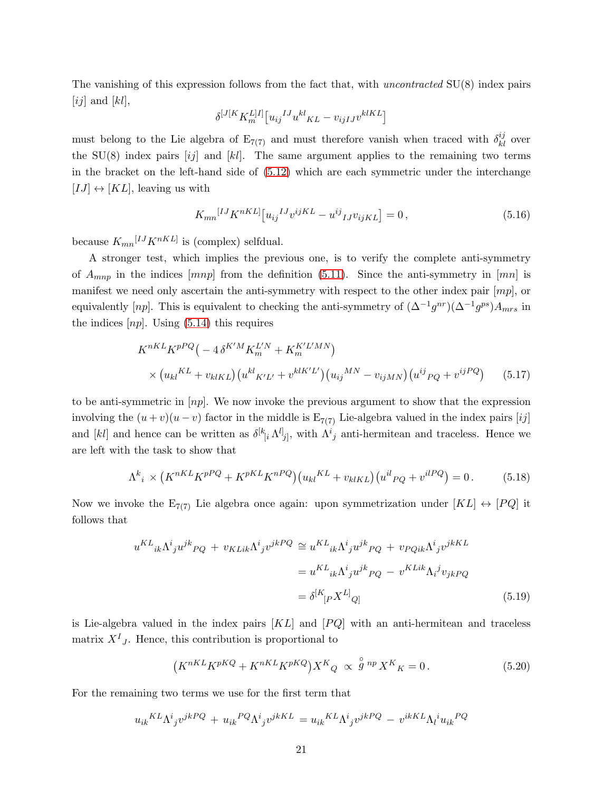The vanishing of this expression follows from the fact that, with uncontracted  $SU(8)$  index pairs [ij] and [kl],

$$
\delta^{[J[K}K_m^{L]I]} \big[u_{ij}{}^{IJ}u^{kl}{}_{KL} - v_{ijIJ}v^{klKL}\big]
$$

must belong to the Lie algebra of  $E_{7(7)}$  and must therefore vanish when traced with  $\delta_{kl}^{ij}$  over the SU(8) index pairs  $[ij]$  and  $[k]$ . The same argument applies to the remaining two terms in the bracket on the left-hand side of [\(5.12\)](#page-20-0) which are each symmetric under the interchange  $[IJ] \leftrightarrow [KL]$ , leaving us with

$$
K_{mn}{}^{[IJ}K^{nKL]}[u_{ij}{}^{IJ}v^{ijKL} - u^{ij}{}_{IJ}v_{ijKL}] = 0, \qquad (5.16)
$$

because  $K_{mn}^{[IJ}K^{nKL]}$  is (complex) selfdual.

A stronger test, which implies the previous one, is to verify the complete anti-symmetry of  $A_{mnp}$  in the indices  $[mnp]$  from the definition [\(5.11\)](#page-20-3). Since the anti-symmetry in  $[mn]$  is manifest we need only ascertain the anti-symmetry with respect to the other index pair  $[mp]$ , or equivalently [np]. This is equivalent to checking the anti-symmetry of  $(\Delta^{-1}g^{nr})(\Delta^{-1}g^{ps})A_{mrs}$  in the indices  $[np]$ . Using  $(5.14)$  this requires

$$
K^{nKL} K^{pPQ} \left( -4 \delta^{K'M} K_m^{L'N} + K_m^{K'L'MN} \right)
$$
  
 
$$
\times \left( u_{kl}^{KL} + v_{klKL} \right) \left( u^{kl} K' L' + v^{klK'L'} \right) \left( u_{ij}^{MN} - v_{ijMN} \right) \left( u^{ij} P_Q + v^{ijPQ} \right) \tag{5.17}
$$

to be anti-symmetric in  $[np]$ . We now invoke the previous argument to show that the expression involving the  $(u + v)(u - v)$  factor in the middle is  $E_{7(7)}$  Lie-algebra valued in the index pairs [ij] and [kl] and hence can be written as  $\delta^{[k}{}_{[i}\Lambda^{l]}_{j]}$ , with  $\Lambda^{i}{}_{j}$  anti-hermitean and traceless. Hence we are left with the task to show that

$$
\Lambda^{k}{}_{i} \times (K^{nKL} K^{pPQ} + K^{pKL} K^{nPQ}) (u_{kl}{}^{KL} + v_{klKL}) (u^{il}{}_{PQ} + v^{ilPQ}) = 0. \tag{5.18}
$$

Now we invoke the  $E_{7(7)}$  Lie algebra once again: upon symmetrization under  $[KL] \leftrightarrow [PQ]$  it follows that

$$
u^{KL}{}_{ik}\Lambda^i{}_{j}u^{jk}{}_{PQ} + v_{KLik}\Lambda^i{}_{j}v^{jk}{}^{PQ} \cong u^{KL}{}_{ik}\Lambda^i{}_{j}u^{jk}{}_{PQ} + v_{PQik}\Lambda^i{}_{j}v^{jk}{}^{KL}
$$

$$
= u^{KL}{}_{ik}\Lambda^i{}_{j}u^{jk}{}_{PQ} - v^{KLik}\Lambda_i^jv_{jk}{}_{PQ}
$$

$$
= \delta^{[K}{}_{[P}X^{L]}{}_{Q]}
$$
(5.19)

is Lie-algebra valued in the index pairs  $[KL]$  and  $[PQ]$  with an anti-hermitean and traceless matrix  $X<sup>I</sup>$ , Hence, this contribution is proportional to

$$
(K^{nKL}K^{pKQ} + K^{nKL}K^{pKQ})X^K_{Q} \propto \stackrel{\circ}{g}^{np} X^K_{K} = 0.
$$
 (5.20)

For the remaining two terms we use for the first term that

$$
u_{ik}{}^{KL}\Lambda^{i}{}_{j}v^{jkPQ} + u_{ik}{}^{PQ}\Lambda^{i}{}_{j}v^{jkKL} = u_{ik}{}^{KL}\Lambda^{i}{}_{j}v^{jkPQ} - v^{ikKL}\Lambda^{i}u_{ik}{}^{PQ}
$$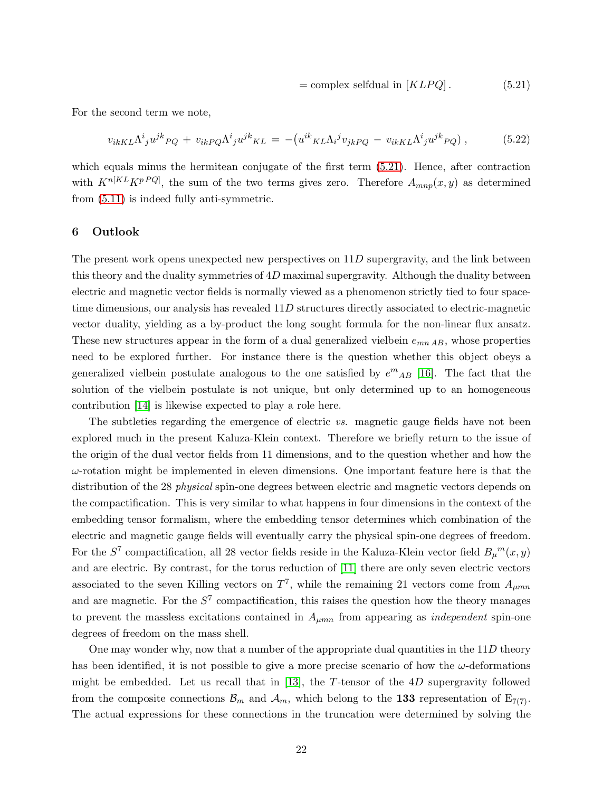<span id="page-22-1"></span>
$$
= complex \, \, selfdual \, \, in \, [KLPQ]. \tag{5.21}
$$

For the second term we note,

$$
v_{ikKL}\Lambda^i{}_j u^{jk}{}_{PQ} + v_{ikPQ}\Lambda^i{}_j u^{jk}{}_{KL} = -\left(u^{ik}{}_{KL}\Lambda_i{}^j v_{jkPQ} - v_{ikKL}\Lambda^i{}_j u^{jk}{}_{PQ}\right),\tag{5.22}
$$

which equals minus the hermitean conjugate of the first term [\(5.21\)](#page-22-1). Hence, after contraction with  $K^{n[KL} K^{pPQ}]$ , the sum of the two terms gives zero. Therefore  $A_{mnp}(x, y)$  as determined from [\(5.11\)](#page-20-3) is indeed fully anti-symmetric.

## <span id="page-22-0"></span>6 Outlook

The present work opens unexpected new perspectives on  $11D$  supergravity, and the link between this theory and the duality symmetries of  $4D$  maximal supergravity. Although the duality between electric and magnetic vector fields is normally viewed as a phenomenon strictly tied to four spacetime dimensions, our analysis has revealed 11D structures directly associated to electric-magnetic vector duality, yielding as a by-product the long sought formula for the non-linear flux ansatz. These new structures appear in the form of a dual generalized vielbein  $e_{mn AB}$ , whose properties need to be explored further. For instance there is the question whether this object obeys a generalized vielbein postulate analogous to the one satisfied by  $e^{m}{}_{AB}$  [\[16\]](#page-27-8). The fact that the solution of the vielbein postulate is not unique, but only determined up to an homogeneous contribution [\[14\]](#page-27-6) is likewise expected to play a role here.

The subtleties regarding the emergence of electric vs. magnetic gauge fields have not been explored much in the present Kaluza-Klein context. Therefore we briefly return to the issue of the origin of the dual vector fields from 11 dimensions, and to the question whether and how the  $\omega$ -rotation might be implemented in eleven dimensions. One important feature here is that the distribution of the 28 *physical* spin-one degrees between electric and magnetic vectors depends on the compactification. This is very similar to what happens in four dimensions in the context of the embedding tensor formalism, where the embedding tensor determines which combination of the electric and magnetic gauge fields will eventually carry the physical spin-one degrees of freedom. For the  $S^7$  compactification, all 28 vector fields reside in the Kaluza-Klein vector field  $B_{\mu}{}^m(x, y)$ and are electric. By contrast, for the torus reduction of [\[11\]](#page-27-3) there are only seven electric vectors associated to the seven Killing vectors on  $T^7$ , while the remaining 21 vectors come from  $A_{\mu mn}$ and are magnetic. For the  $S<sup>7</sup>$  compactification, this raises the question how the theory manages to prevent the massless excitations contained in  $A_{\mu mn}$  from appearing as *independent* spin-one degrees of freedom on the mass shell.

One may wonder why, now that a number of the appropriate dual quantities in the  $11D$  theory has been identified, it is not possible to give a more precise scenario of how the  $\omega$ -deformations might be embedded. Let us recall that in [\[13\]](#page-27-5), the T-tensor of the  $4D$  supergravity followed from the composite connections  $\mathcal{B}_m$  and  $\mathcal{A}_m$ , which belong to the 133 representation of  $E_{7(7)}$ . The actual expressions for these connections in the truncation were determined by solving the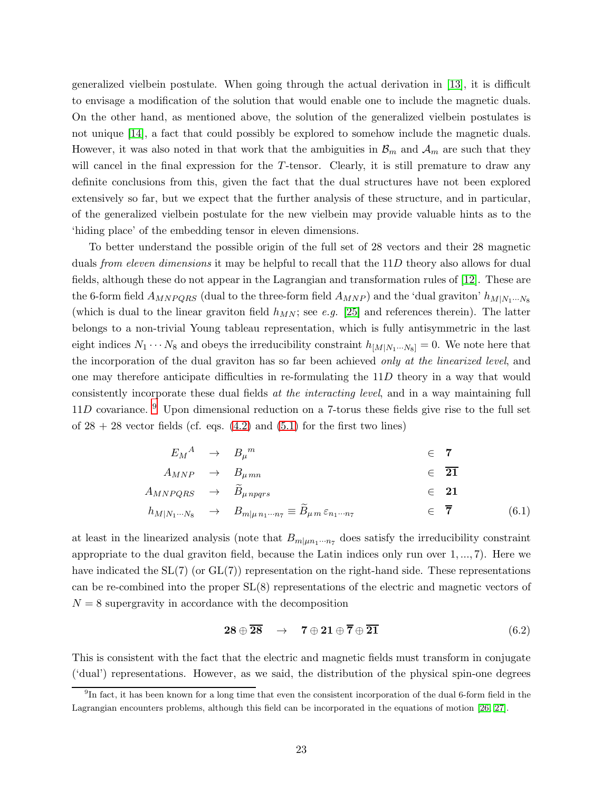generalized vielbein postulate. When going through the actual derivation in [\[13\]](#page-27-5), it is difficult to envisage a modification of the solution that would enable one to include the magnetic duals. On the other hand, as mentioned above, the solution of the generalized vielbein postulates is not unique [\[14\]](#page-27-6), a fact that could possibly be explored to somehow include the magnetic duals. However, it was also noted in that work that the ambiguities in  $\mathcal{B}_m$  and  $\mathcal{A}_m$  are such that they will cancel in the final expression for the T-tensor. Clearly, it is still premature to draw any definite conclusions from this, given the fact that the dual structures have not been explored extensively so far, but we expect that the further analysis of these structure, and in particular, of the generalized vielbein postulate for the new vielbein may provide valuable hints as to the 'hiding place' of the embedding tensor in eleven dimensions.

To better understand the possible origin of the full set of 28 vectors and their 28 magnetic duals *from eleven dimensions* it may be helpful to recall that the 11D theory also allows for dual fields, although these do not appear in the Lagrangian and transformation rules of [\[12\]](#page-27-4). These are the 6-form field  $A_{MNPQRS}$  (dual to the three-form field  $A_{MNP}$ ) and the 'dual graviton'  $h_{M|N_1\cdots N_8}$ (which is dual to the linear graviton field  $h_{MN}$ ; see e.g. [\[25\]](#page-28-1) and references therein). The latter belongs to a non-trivial Young tableau representation, which is fully antisymmetric in the last eight indices  $N_1 \cdots N_8$  and obeys the irreducibility constraint  $h_{[M|N_1\cdots N_8]} = 0$ . We note here that the incorporation of the dual graviton has so far been achieved *only at the linearized level*, and one may therefore anticipate difficulties in re-formulating the 11D theory in a way that would consistently incorporate these dual fields at the interacting level, and in a way maintaining full  $11D$  covariance. <sup>[9](#page-23-0)</sup> Upon dimensional reduction on a 7-torus these fields give rise to the full set of  $28 + 28$  vector fields (cf. eqs.  $(4.2)$  and  $(5.1)$  for the first two lines)

$$
E_M^A \rightarrow B_\mu{}^m \in \mathbf{7}
$$
  
\n
$$
A_{MNP} \rightarrow B_{\mu m n} \in \mathbf{\overline{21}}
$$
  
\n
$$
A_{MNPQRS} \rightarrow \widetilde{B}_{\mu npqrs} \in \mathbf{21}
$$
  
\n
$$
h_{M|N_1\cdots N_8} \rightarrow B_{m|\mu n_1\cdots n_7} \equiv \widetilde{B}_{\mu m} \varepsilon_{n_1\cdots n_7} \in \mathbf{\overline{7}}
$$
 (6.1)

at least in the linearized analysis (note that  $B_{m|\mu n_1 \cdots n_7}$  does satisfy the irreducibility constraint appropriate to the dual graviton field, because the Latin indices only run over 1, ..., 7). Here we have indicated the  $SL(7)$  (or  $GL(7)$ ) representation on the right-hand side. These representations can be re-combined into the proper SL(8) representations of the electric and magnetic vectors of  $N = 8$  supergravity in accordance with the decomposition

<span id="page-23-2"></span><span id="page-23-1"></span>
$$
\mathbf{28} \oplus \overline{\mathbf{28}} \quad \rightarrow \quad \mathbf{7} \oplus \mathbf{21} \oplus \overline{\mathbf{7}} \oplus \overline{\mathbf{21}} \tag{6.2}
$$

This is consistent with the fact that the electric and magnetic fields must transform in conjugate ('dual') representations. However, as we said, the distribution of the physical spin-one degrees

<span id="page-23-0"></span><sup>9</sup> In fact, it has been known for a long time that even the consistent incorporation of the dual 6-form field in the Lagrangian encounters problems, although this field can be incorporated in the equations of motion [\[26,](#page-28-2) [27\]](#page-28-3).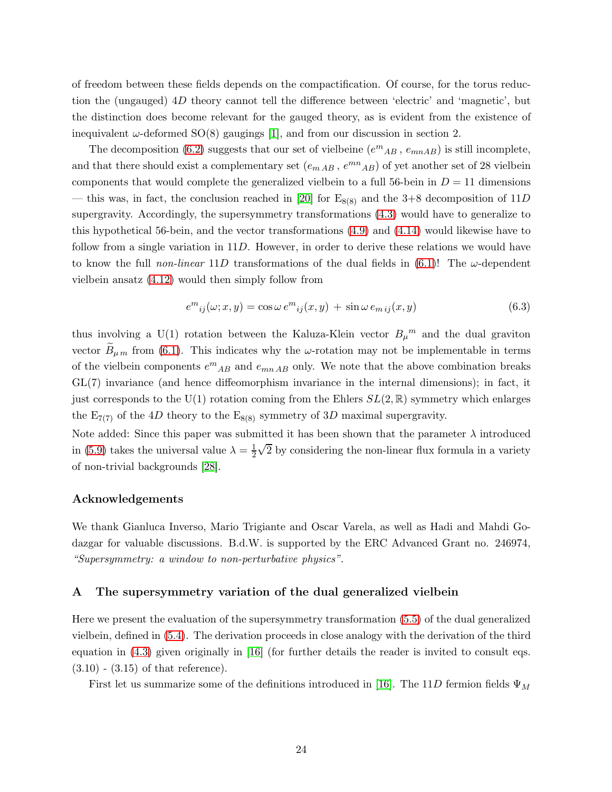of freedom between these fields depends on the compactification. Of course, for the torus reduction the (ungauged) 4D theory cannot tell the difference between 'electric' and 'magnetic', but the distinction does become relevant for the gauged theory, as is evident from the existence of inequivalent  $\omega$ -deformed SO(8) gaugings [\[1\]](#page-26-0), and from our discussion in section 2.

The decomposition [\(6.2\)](#page-23-1) suggests that our set of vielbeine  $(e^{m}{}_{AB}, e_{mnAB})$  is still incomplete, and that there should exist a complementary set  $(e_{m AB}, e^{mn}{}_{AB})$  of yet another set of 28 vielbein components that would complete the generalized vielbein to a full 56-bein in  $D = 11$  dimensions — this was, in fact, the conclusion reached in [\[20\]](#page-27-13) for  $E_{8(8)}$  and the 3+8 decomposition of 11D supergravity. Accordingly, the supersymmetry transformations [\(4.3\)](#page-14-0) would have to generalize to this hypothetical 56-bein, and the vector transformations [\(4.9\)](#page-15-3) and [\(4.14\)](#page-17-1) would likewise have to follow from a single variation in 11D. However, in order to derive these relations we would have to know the full non-linear 11D transformations of the dual fields in  $(6.1)!$  The  $\omega$ -dependent vielbein ansatz [\(4.12\)](#page-16-1) would then simply follow from

$$
e^{m}_{ij}(\omega; x, y) = \cos \omega e^{m}_{ij}(x, y) + \sin \omega e_{mij}(x, y)
$$
\n(6.3)

thus involving a U(1) rotation between the Kaluza-Klein vector  $B_{\mu}^{m}$  and the dual graviton vector  $B_{\mu m}$  from [\(6.1\)](#page-23-2). This indicates why the  $\omega$ -rotation may not be implementable in terms of the vielbein components  $e^{m}{}_{AB}$  and  $e_{mn}{}_{AB}$  only. We note that the above combination breaks GL(7) invariance (and hence diffeomorphism invariance in the internal dimensions); in fact, it just corresponds to the U(1) rotation coming from the Ehlers  $SL(2,\mathbb{R})$  symmetry which enlarges the  $E_{7(7)}$  of the 4D theory to the  $E_{8(8)}$  symmetry of 3D maximal supergravity.

Note added: Since this paper was submitted it has been shown that the parameter  $\lambda$  introduced in [\(5.9\)](#page-20-1) takes the universal value  $\lambda = \frac{1}{2}$ 2  $\sqrt{2}$  by considering the non-linear flux formula in a variety of non-trivial backgrounds [\[28\]](#page-28-4).

# Acknowledgements

We thank Gianluca Inverso, Mario Trigiante and Oscar Varela, as well as Hadi and Mahdi Godazgar for valuable discussions. B.d.W. is supported by the ERC Advanced Grant no. 246974, "Supersymmetry: a window to non-perturbative physics".

# <span id="page-24-0"></span>A The supersymmetry variation of the dual generalized vielbein

Here we present the evaluation of the supersymmetry transformation [\(5.5\)](#page-19-1) of the dual generalized vielbein, defined in [\(5.4\)](#page-19-0). The derivation proceeds in close analogy with the derivation of the third equation in [\(4.3\)](#page-14-0) given originally in [\[16\]](#page-27-8) (for further details the reader is invited to consult eqs.  $(3.10)$  -  $(3.15)$  of that reference).

First let us summarize some of the definitions introduced in [\[16\]](#page-27-8). The 11D fermion fields  $\Psi_M$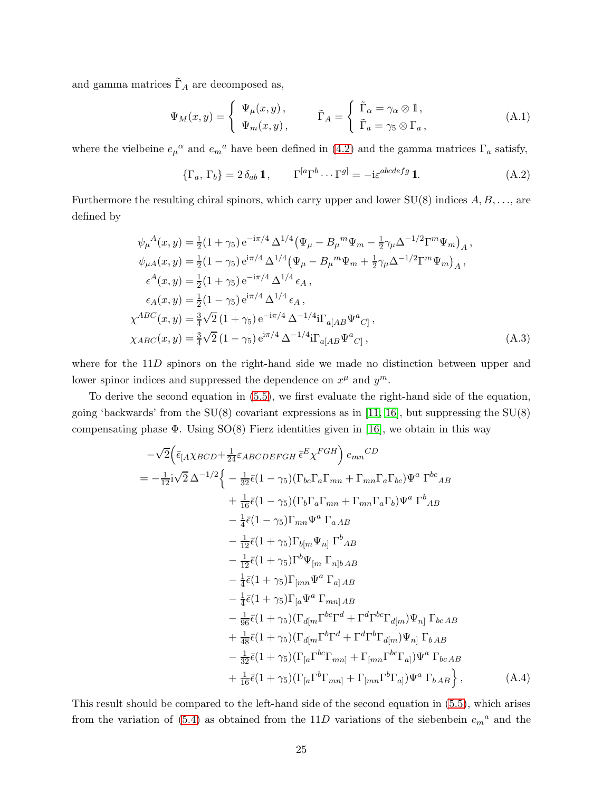and gamma matrices  $\tilde{\Gamma}_A$  are decomposed as,

$$
\Psi_M(x,y) = \begin{cases} \Psi_\mu(x,y), & \tilde{\Gamma}_A = \begin{cases} \tilde{\Gamma}_\alpha = \gamma_\alpha \otimes \mathbb{1}, \\ \tilde{\Gamma}_a = \gamma_5 \otimes \Gamma_a, \end{cases} \end{cases}
$$
(A.1)

where the vielbeine  $e_{\mu}{}^{\alpha}$  and  $e_{m}{}^{a}$  have been defined in [\(4.2\)](#page-13-0) and the gamma matrices  $\Gamma_{a}$  satisfy,

<span id="page-25-0"></span>
$$
\{\Gamma_a, \Gamma_b\} = 2 \,\delta_{ab} \, \mathbb{1}, \qquad \Gamma^{[a} \Gamma^{b} \cdots \Gamma^{g]} = -i \varepsilon^{abcdefg} \, \mathbb{1}. \tag{A.2}
$$

Furthermore the resulting chiral spinors, which carry upper and lower  $SU(8)$  indices  $A, B, \ldots$ , are defined by

$$
\psi_{\mu}{}^{A}(x,y) = \frac{1}{2}(1+\gamma_{5}) e^{-i\pi/4} \Delta^{1/4} (\Psi_{\mu} - B_{\mu}{}^{m} \Psi_{m} - \frac{1}{2}\gamma_{\mu} \Delta^{-1/2} \Gamma^{m} \Psi_{m})_{A} ,
$$
  
\n
$$
\psi_{\mu A}(x,y) = \frac{1}{2}(1-\gamma_{5}) e^{i\pi/4} \Delta^{1/4} (\Psi_{\mu} - B_{\mu}{}^{m} \Psi_{m} + \frac{1}{2}\gamma_{\mu} \Delta^{-1/2} \Gamma^{m} \Psi_{m})_{A} ,
$$
  
\n
$$
\epsilon^{A}(x,y) = \frac{1}{2}(1+\gamma_{5}) e^{-i\pi/4} \Delta^{1/4} \epsilon_{A} ,
$$
  
\n
$$
\epsilon_{A}(x,y) = \frac{1}{2}(1-\gamma_{5}) e^{i\pi/4} \Delta^{1/4} \epsilon_{A} ,
$$
  
\n
$$
\chi^{ABC}(x,y) = \frac{3}{4}\sqrt{2}(1+\gamma_{5}) e^{-i\pi/4} \Delta^{-1/4} i\Gamma_{a[AB} \Psi^{a}{}_{C]},
$$
  
\n
$$
\chi_{ABC}(x,y) = \frac{3}{4}\sqrt{2}(1-\gamma_{5}) e^{i\pi/4} \Delta^{-1/4} i\Gamma_{a[AB} \Psi^{a}{}_{C]} ,
$$
  
\n(A.3)

where for the 11D spinors on the right-hand side we made no distinction between upper and lower spinor indices and suppressed the dependence on  $x^{\mu}$  and  $y^{\mu}$ .

To derive the second equation in [\(5.5\)](#page-19-1), we first evaluate the right-hand side of the equation, going 'backwards' from the  $SU(8)$  covariant expressions as in [\[11,](#page-27-3) [16\]](#page-27-8), but suppressing the  $SU(8)$ compensating phase  $\Phi$ . Using SO(8) Fierz identities given in [\[16\]](#page-27-8), we obtain in this way

<span id="page-25-1"></span>
$$
-\sqrt{2}\left(\bar{\epsilon}_{[AXBCD}+\frac{1}{24}\epsilon_{ABCDEFGH} \bar{\epsilon}^{E} \chi^{FGH}\right) e_{mn}{}^{CD}
$$
  
\n
$$
= -\frac{1}{12}i\sqrt{2}\Delta^{-1/2}\left\{-\frac{1}{32}\bar{\epsilon}(1-\gamma_{5})(\Gamma_{bc}\Gamma_{a}\Gamma_{mn}+\Gamma_{mn}\Gamma_{a}\Gamma_{bc})\Psi^{a}\Gamma^{bc}AB\right.\newline+\frac{1}{16}\bar{\epsilon}(1-\gamma_{5})(\Gamma_{b}\Gamma_{a}\Gamma_{mn}+\Gamma_{mn}\Gamma_{a}\Gamma_{b})\Psi^{a}\Gamma^{b}AB
$$
  
\n
$$
-\frac{1}{4}\bar{\epsilon}(1-\gamma_{5})\Gamma_{mn}\Psi^{a}\Gamma_{aAB}
$$
  
\n
$$
-\frac{1}{12}\bar{\epsilon}(1+\gamma_{5})\Gamma_{b[m}\Psi_{n]}\Gamma^{b}AB
$$
  
\n
$$
-\frac{1}{12}\bar{\epsilon}(1+\gamma_{5})\Gamma^{b}\Psi_{[m}\Gamma_{n]bAB}
$$
  
\n
$$
-\frac{1}{4}\bar{\epsilon}(1+\gamma_{5})\Gamma_{[a}\Psi^{a}\Gamma_{a]AB}
$$
  
\n
$$
-\frac{1}{4}\bar{\epsilon}(1+\gamma_{5})\Gamma_{[a}\Psi^{a}\Gamma_{mn]AB}
$$
  
\n
$$
-\frac{1}{96}\bar{\epsilon}(1+\gamma_{5})(\Gamma_{d[m}\Gamma^{bc}\Gamma^{d}+\Gamma^{d}\Gamma^{bc}\Gamma_{d[m)}\Psi_{n]}\Gamma_{bcAB}
$$
  
\n
$$
+\frac{1}{48}\bar{\epsilon}(1+\gamma_{5})(\Gamma_{d[m}\Gamma^{b}\Gamma^{d}+\Gamma^{d}\Gamma^{b}\Gamma_{d[m)}\Psi_{n]}\Gamma_{bAB}
$$
  
\n
$$
-\frac{1}{32}\bar{\epsilon}(1+\gamma_{5})(\Gamma_{[a}\Gamma^{bc}\Gamma_{mn]}+\Gamma_{[mn}\Gamma^{bc}\Gamma_{a]})\Psi^{a}\Gamma_{bcAB}
$$
  
\n
$$
+\frac{1}{16}\bar{\epsilon}(1+\gamma_{5})(\Gamma_{[a}\Gamma^{bc}\Gamma_{mn]}+\Gamma_{[mn}\Gamma^{bc}\Gamma_{a]})\Psi^{a}\Gamma_{bcAB}
$$
  
\n
$$
+\frac{1}{16}\bar{\epsilon}(1+\gamma_{5})(\Gamma_{[a}\Gamma^{b}\Gamma_{mn]}+\Gamma_{[mn}\Gamma^{b}\Gamma_{a]})\Psi
$$

This result should be compared to the left-hand side of the second equation in [\(5.5\)](#page-19-1), which arises from the variation of  $(5.4)$  as obtained from the 11D variations of the siebenbein  $e_m{}^a$  and the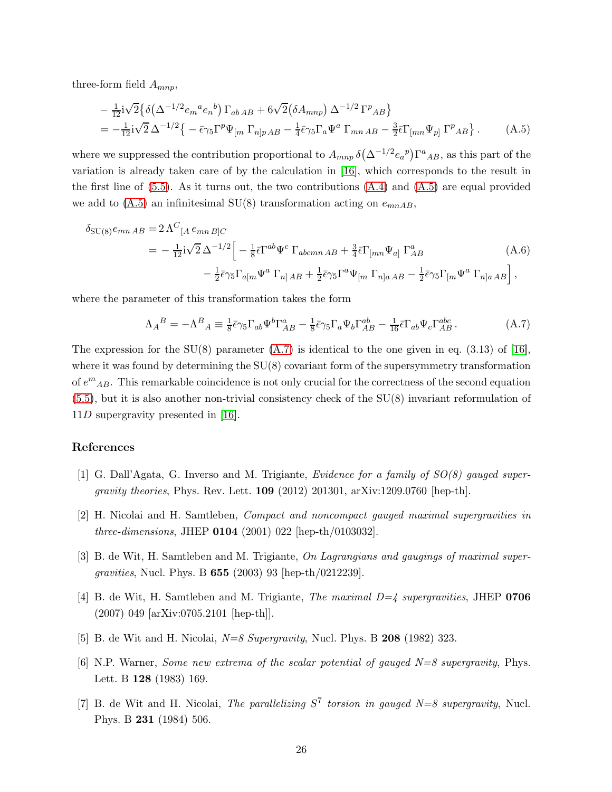three-form field  $A_{mnn}$ ,

<span id="page-26-7"></span>
$$
-\frac{1}{12}i\sqrt{2}\left\{\delta\left(\Delta^{-1/2}e_m{}^ae_n{}^b\right)\Gamma_{ab\,AB}+6\sqrt{2}\left(\delta A_{mnp}\right)\Delta^{-1/2}\Gamma^p{}_{AB}\right\}
$$
  
=\begin{aligned}\n&-\frac{1}{12}i\sqrt{2}\Delta^{-1/2}\left\{-\bar{\epsilon}\gamma\_5\Gamma^p\Psi\_{[m}\Gamma\_{n]p\,AB}-\frac{1}{4}\bar{\epsilon}\gamma\_5\Gamma\_a\Psi^a\Gamma\_{mn\,AB}-\frac{3}{2}\bar{\epsilon}\Gamma\_{[mn}\Psi\_{p]}\Gamma^p{}\_{AB}\right\}.\n\end{aligned} (A.5)

where we suppressed the contribution proportional to  $A_{mnp} \delta(\Delta^{-1/2} e_a^p) \Gamma^a{}_{AB}$ , as this part of the variation is already taken care of by the calculation in [\[16\]](#page-27-8), which corresponds to the result in the first line of  $(5.5)$ . As it turns out, the two contributions  $(A.4)$  and  $(A.5)$  are equal provided we add to  $(A.5)$  an infinitesimal SU(8) transformation acting on  $e_{mnAB}$ ,

$$
\delta_{\text{SU}(8)} e_{mn AB} = 2 \Lambda^C_{\ [A} e_{mn B]C}
$$
\n
$$
= -\frac{1}{12} i \sqrt{2} \Delta^{-1/2} \Big[ -\frac{1}{8} \bar{\epsilon} \Gamma^{ab} \Psi^c \Gamma_{abcmn AB} + \frac{3}{4} \bar{\epsilon} \Gamma_{[mn} \Psi_{a]} \Gamma^a_{AB}
$$
\n
$$
- \frac{1}{2} \bar{\epsilon} \gamma_5 \Gamma_{a[m} \Psi^a \Gamma_{n] AB} + \frac{1}{2} \bar{\epsilon} \gamma_5 \Gamma^a \Psi_{[m} \Gamma_{n]a AB} - \frac{1}{2} \bar{\epsilon} \gamma_5 \Gamma_{[m} \Psi^a \Gamma_{n]a AB} \Big], \tag{A.6}
$$

where the parameter of this transformation takes the form

<span id="page-26-8"></span>
$$
\Lambda_A{}^B = -\Lambda^B{}_A \equiv \frac{1}{8}\bar{\epsilon}\gamma_5\Gamma_{ab}\Psi^b\Gamma^a_{AB} - \frac{1}{8}\bar{\epsilon}\gamma_5\Gamma_a\Psi_b\Gamma^{ab}_{AB} - \frac{1}{16}\bar{\epsilon}\Gamma_{ab}\Psi_c\Gamma^{abc}_{AB}.
$$
 (A.7)

The expression for the  $SU(8)$  parameter  $(A.7)$  is identical to the one given in eq.  $(3.13)$  of [\[16\]](#page-27-8), where it was found by determining the  $SU(8)$  covariant form of the supersymmetry transformation of  $e^{m}{}_{AB}$ . This remarkable coincidence is not only crucial for the correctness of the second equation [\(5.5\)](#page-19-1), but it is also another non-trivial consistency check of the SU(8) invariant reformulation of 11D supergravity presented in [\[16\]](#page-27-8).

# <span id="page-26-0"></span>References

- <span id="page-26-1"></span>[1] G. Dall'Agata, G. Inverso and M. Trigiante, Evidence for a family of SO(8) gauged super*gravity theories*, Phys. Rev. Lett. **109** (2012) 201301,  $\arXiv:1209.0760$  [hep-th].
- <span id="page-26-2"></span>[2] H. Nicolai and H. Samtleben, Compact and noncompact gauged maximal supergravities in *three-dimensions*, JHEP  $0104$  (2001) 022 [hep-th/0103032].
- <span id="page-26-3"></span>[3] B. de Wit, H. Samtleben and M. Trigiante, On Lagrangians and gaugings of maximal supergravities, Nucl. Phys. B 655 (2003) 93 [hep-th/0212239].
- <span id="page-26-4"></span>[4] B. de Wit, H. Samtleben and M. Trigiante, *The maximal D=4 supergravities*, JHEP  $0706$ (2007) 049 [arXiv:0705.2101 [hep-th]].
- <span id="page-26-5"></span>[5] B. de Wit and H. Nicolai,  $N=8$  Supergravity, Nucl. Phys. B 208 (1982) 323.
- <span id="page-26-6"></span>[6] N.P. Warner, Some new extrema of the scalar potential of gauged  $N=8$  supergravity, Phys. Lett. B 128 (1983) 169.
- [7] B. de Wit and H. Nicolai, The parallelizing  $S^7$  torsion in gauged N=8 supergravity, Nucl. Phys. B 231 (1984) 506.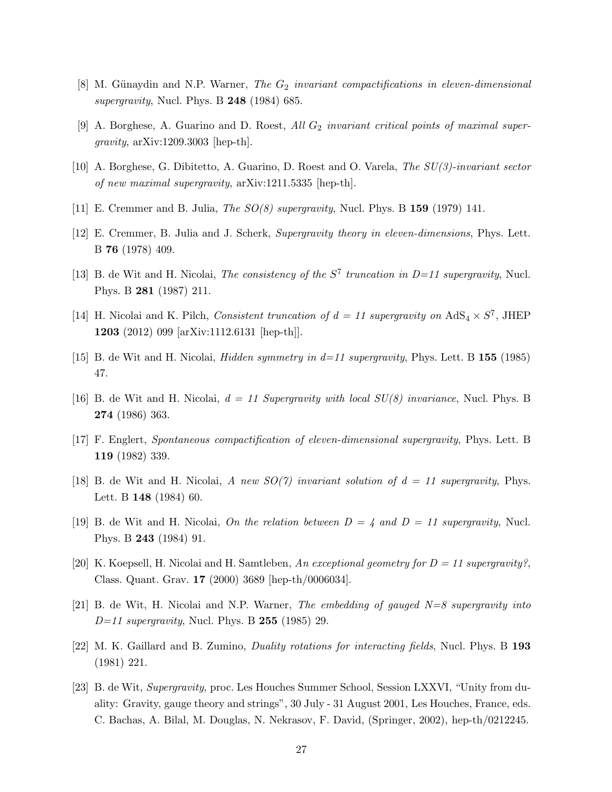- <span id="page-27-1"></span><span id="page-27-0"></span>[8] M. Günaydin and N.P. Warner, The  $G_2$  invariant compactifications in eleven-dimensional supergravity, Nucl. Phys. B  $248$  (1984) 685.
- <span id="page-27-2"></span>[9] A. Borghese, A. Guarino and D. Roest, All  $G_2$  invariant critical points of maximal supergravity,  $arXiv:1209.3003$  [hep-th].
- <span id="page-27-3"></span>[10] A. Borghese, G. Dibitetto, A. Guarino, D. Roest and O. Varela, The SU(3)-invariant sector of new maximal supergravity, arXiv:1211.5335 [hep-th].
- <span id="page-27-4"></span>[11] E. Cremmer and B. Julia, The SO(8) supergravity, Nucl. Phys. B 159 (1979) 141.
- <span id="page-27-5"></span>[12] E. Cremmer, B. Julia and J. Scherk, Supergravity theory in eleven-dimensions, Phys. Lett. B 76 (1978) 409.
- <span id="page-27-6"></span>[13] B. de Wit and H. Nicolai, *The consistency of the*  $S^7$  truncation in D=11 supergravity, Nucl. Phys. B 281 (1987) 211.
- <span id="page-27-7"></span>[14] H. Nicolai and K. Pilch, Consistent truncation of  $d = 11$  supergravity on  $AdS_4 \times S^7$ , JHEP 1203 (2012) 099 [arXiv:1112.6131 [hep-th]].
- <span id="page-27-8"></span>[15] B. de Wit and H. Nicolai, *Hidden symmetry in*  $d=11$  *supergravity*, Phys. Lett. B 155 (1985) 47.
- <span id="page-27-9"></span>[16] B. de Wit and H. Nicolai,  $d = 11$  Supergravity with local  $SU(8)$  invariance, Nucl. Phys. B 274 (1986) 363.
- <span id="page-27-10"></span>[17] F. Englert, Spontaneous compactification of eleven-dimensional supergravity, Phys. Lett. B 119 (1982) 339.
- <span id="page-27-11"></span>[18] B. de Wit and H. Nicolai, A new  $SO(7)$  invariant solution of  $d = 11$  supergravity, Phys. Lett. B 148 (1984) 60.
- <span id="page-27-13"></span>[19] B. de Wit and H. Nicolai, On the relation between  $D = 4$  and  $D = 11$  supergravity, Nucl. Phys. B 243 (1984) 91.
- <span id="page-27-12"></span>[20] K. Koepsell, H. Nicolai and H. Samtleben, An exceptional geometry for  $D = 11$  supergravity?, Class. Quant. Grav. 17 (2000) 3689 [hep-th/0006034].
- <span id="page-27-14"></span>[21] B. de Wit, H. Nicolai and N.P. Warner, The embedding of gauged  $N=8$  supergravity into  $D=11$  supergravity, Nucl. Phys. B 255 (1985) 29.
- <span id="page-27-15"></span>[22] M. K. Gaillard and B. Zumino, *Duality rotations for interacting fields*, Nucl. Phys. B 193 (1981) 221.
- [23] B. de Wit, Supergravity, proc. Les Houches Summer School, Session LXXVI, "Unity from duality: Gravity, gauge theory and strings", 30 July - 31 August 2001, Les Houches, France, eds. C. Bachas, A. Bilal, M. Douglas, N. Nekrasov, F. David, (Springer, 2002), hep-th/0212245.